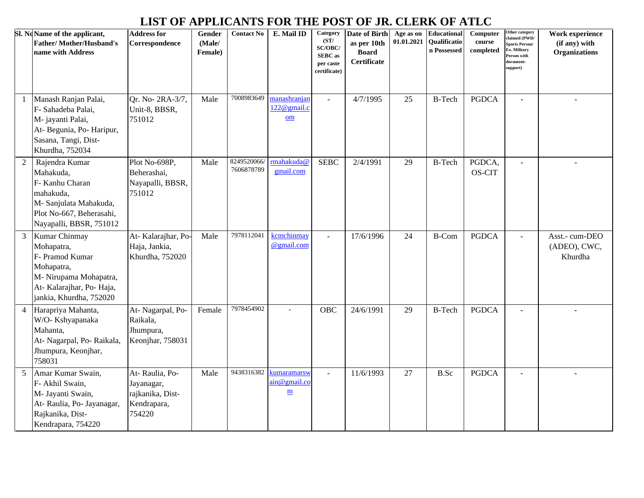## **LIST OF APPLICANTS FOR THE POST OF JR. CLERK OF ATLC**

|                | Sl. NoName of the applicant,<br><b>Father/Mother/Husband's</b><br>name with Address                                                          | <b>Address for</b><br>Correspondence                                      | Gender<br>(Male/<br>Female) | <b>Contact No</b>         | E. Mail ID                                              | Category<br>(ST/<br>SC/OBC/<br><b>SEBC</b> as<br>per caste<br>certificate) | Date of Birth<br>as per 10th<br><b>Board</b><br><b>Certificate</b> | Age as on<br>01.01.2021 | <b>Educational</b><br>Qualificatio<br>n Possessed | Computer<br>course<br>completed | Other category<br>laimed (PWD/<br>Sports Person/<br>x. Military<br>Person with<br>locument-<br>upport) | Work experience<br>(if any) with<br>Organizations |
|----------------|----------------------------------------------------------------------------------------------------------------------------------------------|---------------------------------------------------------------------------|-----------------------------|---------------------------|---------------------------------------------------------|----------------------------------------------------------------------------|--------------------------------------------------------------------|-------------------------|---------------------------------------------------|---------------------------------|--------------------------------------------------------------------------------------------------------|---------------------------------------------------|
| -1             | Manash Ranjan Palai,<br>F- Sahadeba Palai,<br>M- jayanti Palai,<br>At-Begunia, Po-Haripur,<br>Sasana, Tangi, Dist-<br>Khurdha, 752034        | Qr. No-2RA-3/7,<br>Unit-8, BBSR,<br>751012                                | Male                        | 7008983649                | manashranjar<br>$122@$ gmail.c<br>om                    | $\overline{a}$                                                             | 4/7/1995                                                           | 25                      | <b>B-Tech</b>                                     | <b>PGDCA</b>                    | $\mathcal{L}$                                                                                          | $\sim$                                            |
| 2              | Rajendra Kumar<br>Mahakuda,<br>F- Kanhu Charan<br>mahakuda,<br>M- Sanjulata Mahakuda,<br>Plot No-667, Beherasahi,<br>Nayapalli, BBSR, 751012 | Plot No-698P,<br>Beherashai,<br>Nayapalli, BBSR,<br>751012                | Male                        | 8249520066/<br>7606878789 | rmahakuda@<br>gmail.com                                 | <b>SEBC</b>                                                                | 2/4/1991                                                           | 29                      | <b>B-Tech</b>                                     | PGDCA,<br>OS-CIT                | $\sim$                                                                                                 |                                                   |
| 3              | Kumar Chinmay<br>Mohapatra,<br>F- Pramod Kumar<br>Mohapatra,<br>M- Nirupama Mohapatra,<br>At-Kalarajhar, Po-Haja,<br>jankia, Khurdha, 752020 | At-Kalarajhar, Po-<br>Haja, Jankia,<br>Khurdha, 752020                    | Male                        | 7978112041                | kcmchinmay<br>@gmail.com                                | $\blacksquare$                                                             | 17/6/1996                                                          | 24                      | <b>B-Com</b>                                      | <b>PGDCA</b>                    | $\blacksquare$                                                                                         | Asst.- cum-DEO<br>(ADEO), CWC,<br>Khurdha         |
| $\overline{4}$ | Harapriya Mahanta,<br>W/O-Kshyapanaka<br>Mahanta,<br>At- Nagarpal, Po- Raikala,<br>Jhumpura, Keonjhar,<br>758031                             | At-Nagarpal, Po-<br>Raikala,<br>Jhumpura,<br>Keonjhar, 758031             | Female                      | 7978454902                |                                                         | OBC                                                                        | 24/6/1991                                                          | 29                      | <b>B-Tech</b>                                     | <b>PGDCA</b>                    | $\overline{a}$                                                                                         |                                                   |
| 5              | Amar Kumar Swain,<br>F- Akhil Swain,<br>M- Jayanti Swain,<br>At-Raulia, Po-Jayanagar,<br>Rajkanika, Dist-<br>Kendrapara, 754220              | At-Raulia, Po-<br>Jayanagar,<br>rajkanika, Dist-<br>Kendrapara,<br>754220 | Male                        | 9438316382                | kumaramarsw<br>$\sin \omega$ gmail.c<br>$\underline{m}$ |                                                                            | 11/6/1993                                                          | 27                      | B.Sc                                              | <b>PGDCA</b>                    | $\sim$                                                                                                 | $\sim$                                            |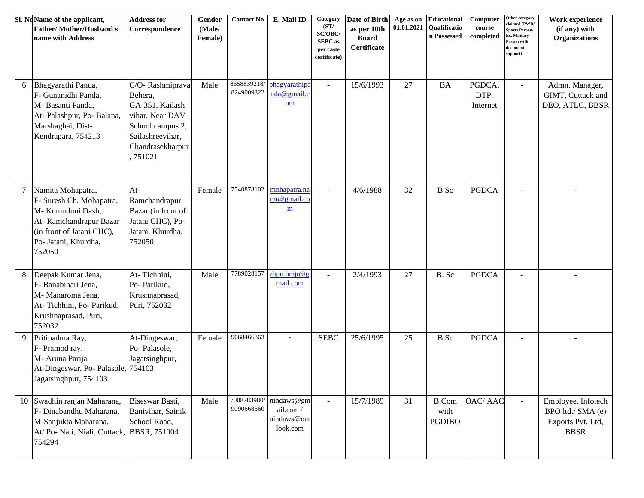|   | Sl. NoName of the applicant,<br><b>Father/Mother/Husband's</b><br>name with Address                                                                         | <b>Address for</b><br>Correspondence                                                                                                   | Gender<br>(Male/<br>Female) | <b>Contact No</b>         | E. Mail ID                                              | Category<br>(ST/<br>SC/OBC/<br><b>SEBC</b> as<br>per caste<br>certificate) | Date of Birth<br>as per 10th<br><b>Board</b><br>Certificate | Age as on<br>01.01.2021 | Educational<br>Qualificatio<br>n Possessed | Computer<br>course<br>completed | Other category<br>claimed (PWD/<br>Sports Person/<br>Ex. Military<br>Person with<br>locument-<br>support) | Work experience<br>(if any) with<br><b>Organizations</b>                    |
|---|-------------------------------------------------------------------------------------------------------------------------------------------------------------|----------------------------------------------------------------------------------------------------------------------------------------|-----------------------------|---------------------------|---------------------------------------------------------|----------------------------------------------------------------------------|-------------------------------------------------------------|-------------------------|--------------------------------------------|---------------------------------|-----------------------------------------------------------------------------------------------------------|-----------------------------------------------------------------------------|
| 6 | Bhagyarathi Panda,<br>F- Gunanidhi Panda,<br>M- Basanti Panda,<br>At- Palashpur, Po- Balana,<br>Marshaghai, Dist-<br>Kendrapara, 754213                     | C/O-Rashmiprava<br>Behera,<br>GA-351, Kailash<br>vihar, Near DAV<br>School campus 2,<br>Sailashreevihar,<br>Chandrasekharpur<br>751021 | Male                        | 8249009322                | 8658839218/ bhagyarathipa<br>nda@gmail.c<br>Qm          | $\blacksquare$                                                             | 15/6/1993                                                   | $27\,$                  | <b>BA</b>                                  | PGDCA,<br>DTP,<br>Internet      | $\sim$                                                                                                    | Admn. Manager,<br>GIMT, Cuttack and<br>DEO, ATLC, BBSR                      |
| 7 | Namita Mohapatra,<br>F- Suresh Ch. Mohapatra,<br>M- Kumuduni Dash,<br>At-Ramchandrapur Bazar<br>(in front of Jatani CHC),<br>Po- Jatani, Khurdha,<br>752050 | $At-$<br>Ramchandrapur<br>Bazar (in front of<br>Jatani CHC), Po-<br>Jatani, Khurdha,<br>752050                                         | Female                      | 7540878102                | mohapatra.na<br>mi@gmail.co<br>$\underline{\mathbf{m}}$ | $\sim$                                                                     | 4/6/1988                                                    | 32                      | B.Sc                                       | <b>PGDCA</b>                    |                                                                                                           |                                                                             |
| 8 | Deepak Kumar Jena,<br>F- Banabihari Jena,<br>M- Manaroma Jena,<br>At-Tichhini, Po-Parikud,<br>Krushnaprasad, Puri,<br>752032                                | At-Tichhini,<br>Po- Parikud,<br>Krushnaprasad,<br>Puri, 752032                                                                         | Male                        | 7789028157                | dipu.bmjt@g<br>mail.com                                 | $\sim$                                                                     | 2/4/1993                                                    | 27                      | B. Sc                                      | <b>PGDCA</b>                    |                                                                                                           |                                                                             |
| 9 | Pritipadma Ray,<br>F- Pramod ray,<br>M- Aruna Parija,<br>At-Dingeswar, Po- Palasole, 754103<br>Jagatsinghpur, 754103                                        | At-Dingeswar,<br>Po-Palasole,<br>Jagatsinghpur,                                                                                        | Female                      | 9668466363                |                                                         | <b>SEBC</b>                                                                | 25/6/1995                                                   | 25                      | B.Sc                                       | <b>PGDCA</b>                    | $\blacksquare$                                                                                            |                                                                             |
|   | 10 Swadhin ranjan Maharana,<br>F- Dinabandhu Maharana,<br>M-Sanjukta Maharana,<br>At/ Po- Nati, Niali, Cuttack, BBSR, 751004<br>754294                      | Biseswar Basti,<br>Banivihar, Sainik<br>School Road,                                                                                   | Male                        | 7008783980/<br>9090668560 | nihdaws@gm<br>ail.com/<br>nihdaws@out<br>look.com       | $\sim$                                                                     | 15/7/1989                                                   | 31                      | <b>B.Com</b><br>with<br><b>PGDIBO</b>      | OAC/AAC                         | $\sim$                                                                                                    | Employee, Infotech<br>BPO ltd./ SMA (e)<br>Exports Pvt. Ltd,<br><b>BBSR</b> |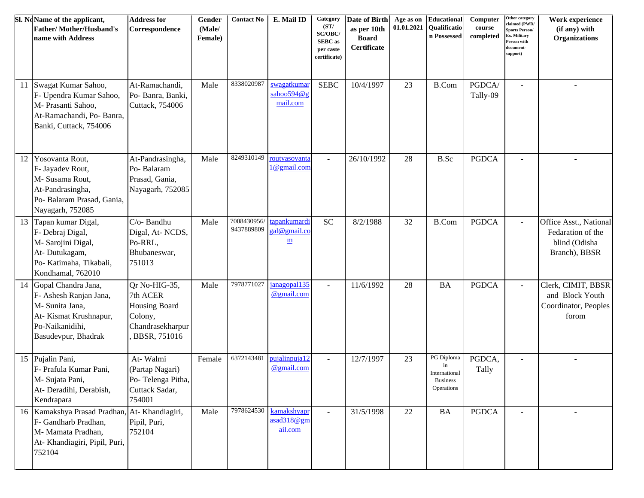|    | Sl. NoName of the applicant,<br><b>Father/Mother/Husband's</b><br>name with Address                                                   | <b>Address for</b><br>Correspondence                                                      | Gender<br>(Male/<br>Female) | <b>Contact No</b>         | E. Mail ID                                               | Category<br>(ST/<br>SC/OBC/<br><b>SEBC</b> as<br>per caste<br>certificate) | Date of Birth<br>as per 10th<br><b>Board</b><br>Certificate | Age as on<br>01.01.2021 | Educational<br>Qualificatio<br>n Possessed                                                | Computer<br>course<br>completed | Other category<br>claimed (PWD/<br><b>Sports Person/</b><br>Ex. Military<br>Person with<br>document-<br>support) | Work experience<br>(if any) with<br><b>Organizations</b>                      |
|----|---------------------------------------------------------------------------------------------------------------------------------------|-------------------------------------------------------------------------------------------|-----------------------------|---------------------------|----------------------------------------------------------|----------------------------------------------------------------------------|-------------------------------------------------------------|-------------------------|-------------------------------------------------------------------------------------------|---------------------------------|------------------------------------------------------------------------------------------------------------------|-------------------------------------------------------------------------------|
| 11 | Swagat Kumar Sahoo,<br>F- Upendra Kumar Sahoo,<br>M- Prasanti Sahoo,<br>At-Ramachandi, Po- Banra,<br>Banki, Cuttack, 754006           | At-Ramachandi,<br>Po- Banra, Banki,<br>Cuttack, 754006                                    | Male                        | 8338020987                | swagatkumar<br>sahoo594@g<br>mail.com                    | <b>SEBC</b>                                                                | 10/4/1997                                                   | 23                      | <b>B.Com</b>                                                                              | PGDCA/<br>Tally-09              | $\sim$                                                                                                           |                                                                               |
| 12 | Yosovanta Rout,<br>F- Jayadev Rout,<br>M- Susama Rout,<br>At-Pandrasingha,<br>Po- Balaram Prasad, Gania,<br>Nayagarh, 752085          | At-Pandrasingha,<br>Po-Balaram<br>Prasad, Gania,<br>Nayagarh, 752085                      | Male                        | 8249310149                | routyasovanta<br>1@gmail.com                             |                                                                            | 26/10/1992                                                  | 28                      | B.Sc                                                                                      | <b>PGDCA</b>                    |                                                                                                                  |                                                                               |
| 13 | Tapan kumar Digal,<br>F- Debraj Digal,<br>M- Sarojini Digal,<br>At-Dutukagam,<br>Po- Katimaha, Tikabali,<br>Kondhamal, 762010         | C/o-Bandhu<br>Digal, At-NCDS,<br>Po-RRL,<br>Bhubaneswar,<br>751013                        | Male                        | 7008430956/<br>9437889809 | tapankumardi<br>gal@gmail.co<br>$\underline{\mathbf{m}}$ | <b>SC</b>                                                                  | 8/2/1988                                                    | 32                      | <b>B.Com</b>                                                                              | <b>PGDCA</b>                    |                                                                                                                  | Office Asst., National<br>Fedaration of the<br>blind (Odisha<br>Branch), BBSR |
| 14 | Gopal Chandra Jana,<br>F- Ashesh Ranjan Jana,<br>M- Sunita Jana,<br>At-Kismat Krushnapur,<br>Po-Naikanidihi,<br>Basudevpur, Bhadrak   | Qr No-HIG-35,<br>7th ACER<br>Housing Board<br>Colony,<br>Chandrasekharpur<br>BBSR, 751016 | Male                        | 7978771027                | janagopal135<br>@gmail.com                               |                                                                            | 11/6/1992                                                   | 28                      | <b>BA</b>                                                                                 | <b>PGDCA</b>                    |                                                                                                                  | Clerk, CIMIT, BBSR<br>and Block Youth<br>Coordinator, Peoples<br>forom        |
|    | 15 Pujalin Pani,<br>F- Prafula Kumar Pani,<br>M- Sujata Pani,<br>At- Deradihi, Derabish,<br>Kendrapara                                | At-Walmi<br>(Partap Nagari)<br>Po-Telenga Pitha,<br>Cuttack Sadar,<br>754001              | Female                      | 6372143481                | pujalinpuja12<br>@gmail.com                              |                                                                            | 12/7/1997                                                   | 23                      | PG Diploma<br>in<br>International<br>$\label{eq:logines} \textsc{Business}$<br>Operations | PGDCA,<br>Tally                 | $\blacksquare$                                                                                                   |                                                                               |
|    | 16 Kamakshya Prasad Pradhan, At-Khandiagiri,<br>F- Gandharb Pradhan,<br>M- Mamata Pradhan,<br>At- Khandiagiri, Pipil, Puri,<br>752104 | Pipil, Puri,<br>752104                                                                    | Male                        | 7978624530                | kamakshyapr<br>asad318@gm<br>ail.com                     |                                                                            | 31/5/1998                                                   | $22\,$                  | <b>BA</b>                                                                                 | <b>PGDCA</b>                    | $\sim$                                                                                                           |                                                                               |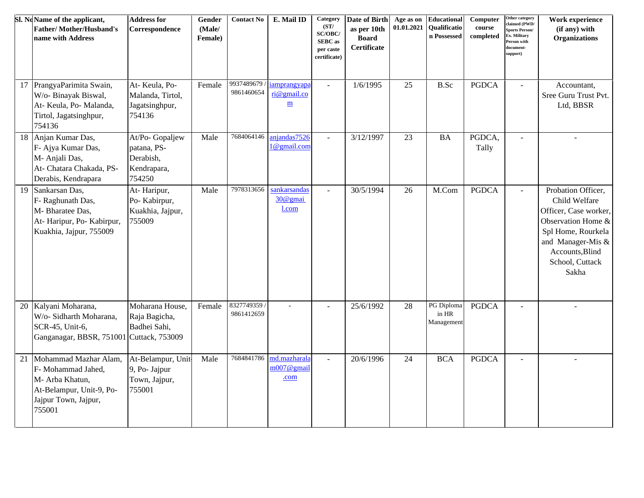|    | Sl. NoName of the applicant,<br><b>Father/Mother/Husband's</b><br>name with Address                                          | <b>Address for</b><br>Correspondence                                 | Gender<br>(Male/<br>Female) | <b>Contact No</b>        | E. Mail ID                                              | Category<br>(ST/<br>SC/OBC/<br><b>SEBC</b> as<br>per caste<br>certificate) | Date of Birth<br>as per 10th<br><b>Board</b><br>Certificate | Age as on<br>01.01.2021 | <b>Educational</b><br><b>Oualificatio</b><br>n Possessed | Computer<br>course<br>completed | Other category<br>claimed (PWD/<br>ports Person/<br><b>x.</b> Military<br>erson with<br>locument-<br>support) | Work experience<br>(if any) with<br><b>Organizations</b>                                                                                                                     |
|----|------------------------------------------------------------------------------------------------------------------------------|----------------------------------------------------------------------|-----------------------------|--------------------------|---------------------------------------------------------|----------------------------------------------------------------------------|-------------------------------------------------------------|-------------------------|----------------------------------------------------------|---------------------------------|---------------------------------------------------------------------------------------------------------------|------------------------------------------------------------------------------------------------------------------------------------------------------------------------------|
| 17 | PrangyaParimita Swain,<br>W/o- Binayak Biswal,<br>At-Keula, Po-Malanda,<br>Tirtol, Jagatsinghpur,<br>754136                  | At-Keula, Po-<br>Malanda, Tirtol,<br>Jagatsinghpur,<br>754136        | Female                      | 9937489679<br>9861460654 | iamprangyapa<br>ri@gmail.co<br>$\underline{\textbf{m}}$ | $\mathbb{Z}^2$                                                             | 1/6/1995                                                    | 25                      | B.Sc                                                     | <b>PGDCA</b>                    | $\sim$                                                                                                        | Accountant,<br>Sree Guru Trust Pvt.<br>Ltd, BBSR                                                                                                                             |
| 18 | Anjan Kumar Das,<br>F- Ajya Kumar Das,<br>M- Anjali Das,<br>At- Chatara Chakada, PS-<br>Derabis, Kendrapara                  | At/Po- Gopaljew<br>patana, PS-<br>Derabish,<br>Kendrapara,<br>754250 | Male                        | 7684064146               | anjandas7526<br>1@gmail.com                             | $\omega$                                                                   | 3/12/1997                                                   | 23                      | <b>BA</b>                                                | PGDCA,<br>Tally                 | $\sim$                                                                                                        | $\sim$                                                                                                                                                                       |
| 19 | Sankarsan Das,<br>F- Raghunath Das,<br>M- Bharatee Das,<br>At-Haripur, Po-Kabirpur,<br>Kuakhia, Jajpur, 755009               | At-Haripur,<br>Po-Kabirpur,<br>Kuakhia, Jajpur,<br>755009            | Male                        | 7978313656               | sankarsandas<br>30@gmai<br>l.com                        | $\overline{a}$                                                             | 30/5/1994                                                   | 26                      | M.Com                                                    | <b>PGDCA</b>                    | $\sim$                                                                                                        | Probation Officer,<br>Child Welfare<br>Officer, Case worker,<br>Observation Home &<br>Spl Home, Rourkela<br>and Manager-Mis &<br>Accounts, Blind<br>School, Cuttack<br>Sakha |
| 20 | Kalyani Moharana,<br>W/o- Sidharth Moharana,<br>SCR-45, Unit-6,<br>Ganganagar, BBSR, 751001 Cuttack, 753009                  | Moharana House,<br>Raja Bagicha,<br>Badhei Sahi,                     | Female                      | 8327749359<br>9861412659 |                                                         |                                                                            | 25/6/1992                                                   | 28                      | PG Diploma<br>in HR<br>Management                        | <b>PGDCA</b>                    |                                                                                                               |                                                                                                                                                                              |
| 21 | Mohammad Mazhar Alam,<br>F- Mohammad Jahed,<br>M- Arba Khatun,<br>At-Belampur, Unit-9, Po-<br>Jajpur Town, Jajpur,<br>755001 | At-Belampur, Unit-<br>9, Po- Jajpur<br>Town, Jajpur,<br>755001       | Male                        | 7684841786               | md.mazharala<br>$m007@$ gmail<br>.com                   | $\mathbf{r}$                                                               | 20/6/1996                                                   | 24                      | <b>BCA</b>                                               | <b>PGDCA</b>                    | $\sim$                                                                                                        |                                                                                                                                                                              |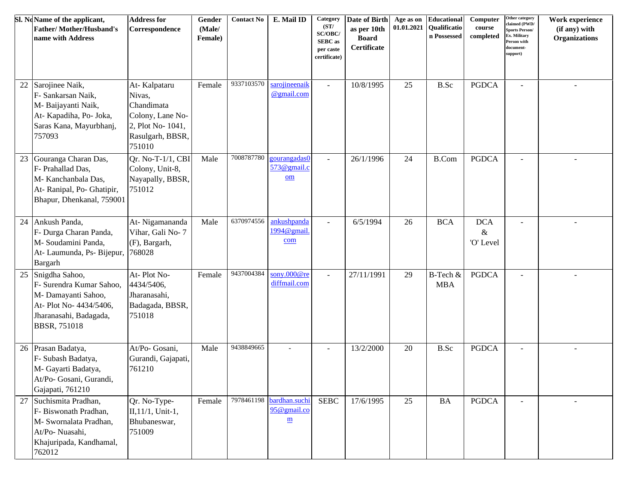|    | Sl. NoName of the applicant,<br><b>Father/Mother/Husband's</b><br>name with Address                                                    | <b>Address for</b><br>Correspondence                                                                        | Gender<br>(Male/<br>Female) | <b>Contact No</b> | E. Mail ID                                                          | Category<br>(ST/<br>SC/OBC/<br><b>SEBC</b> as<br>per caste<br>certificate) | <b>Date of Birth</b><br>as per 10th<br><b>Board</b><br><b>Certificate</b> | 01.01.2021 | Age as on Educational<br>Qualificatio<br>n Possessed | Computer<br>course<br>completed | Other category<br>claimed (PWD/<br>ports Person/<br>Ex. Military<br>Person with<br>locument-<br>upport) | Work experience<br>(if any) with<br><b>Organizations</b> |
|----|----------------------------------------------------------------------------------------------------------------------------------------|-------------------------------------------------------------------------------------------------------------|-----------------------------|-------------------|---------------------------------------------------------------------|----------------------------------------------------------------------------|---------------------------------------------------------------------------|------------|------------------------------------------------------|---------------------------------|---------------------------------------------------------------------------------------------------------|----------------------------------------------------------|
| 22 | Sarojinee Naik,<br>F- Sankarsan Naik,<br>M- Baijayanti Naik,<br>At-Kapadiha, Po-Joka,<br>Saras Kana, Mayurbhanj,<br>757093             | At-Kalpataru<br>Nivas,<br>Chandimata<br>Colony, Lane No-<br>2, Plot No- 1041,<br>Rasulgarh, BBSR,<br>751010 | Female                      | 9337103570        | sarojineenaik<br>@gmail.com                                         |                                                                            | 10/8/1995                                                                 | 25         | B.Sc                                                 | <b>PGDCA</b>                    | $\overline{\phantom{a}}$                                                                                |                                                          |
| 23 | Gouranga Charan Das,<br>F- Prahallad Das,<br>M- Kanchanbala Das,<br>At- Ranipal, Po- Ghatipir,<br>Bhapur, Dhenkanal, 759001            | Qr. No-T-1/1, CBI<br>Colony, Unit-8,<br>Nayapally, BBSR,<br>751012                                          | Male                        | 7008787780        | gourangadas0<br>573@gmail.c<br>$\underline{\mathbf{om}}$            | $\overline{a}$                                                             | 26/1/1996                                                                 | 24         | <b>B.Com</b>                                         | <b>PGDCA</b>                    | $\overline{\phantom{a}}$                                                                                | $\overline{a}$                                           |
| 24 | Ankush Panda,<br>F- Durga Charan Panda,<br>M- Soudamini Panda,<br>At- Laumunda, Ps- Bijepur, 768028<br>Bargarh                         | At-Nigamananda<br>Vihar, Gali No-7<br>(F), Bargarh,                                                         | Male                        | 6370974556        | ankushpanda<br>1994@gmail.<br>com                                   | $\mathbf{r}$                                                               | 6/5/1994                                                                  | 26         | <b>BCA</b>                                           | <b>DCA</b><br>$\&$<br>'O' Level | $\blacksquare$                                                                                          |                                                          |
| 25 | Snigdha Sahoo,<br>F- Surendra Kumar Sahoo,<br>M- Damayanti Sahoo,<br>At- Plot No- 4434/5406,<br>Jharanasahi, Badagada,<br>BBSR, 751018 | At-Plot No-<br>4434/5406,<br>Jharanasahi,<br>Badagada, BBSR,<br>751018                                      | Female                      | 9437004384        | sony.000@re<br>diffmail.com                                         |                                                                            | 27/11/1991                                                                | 29         | B-Tech &<br><b>MBA</b>                               | <b>PGDCA</b>                    |                                                                                                         |                                                          |
| 26 | Prasan Badatya,<br>F- Subash Badatya,<br>M- Gayarti Badatya,<br>At/Po- Gosani, Gurandi,<br>Gajapati, 761210                            | At/Po- Gosani,<br>Gurandi, Gajapati,<br>761210                                                              | Male                        | 9438849665        | $\overline{a}$                                                      | $\blacksquare$                                                             | 13/2/2000                                                                 | 20         | B.Sc                                                 | <b>PGDCA</b>                    | $\blacksquare$                                                                                          |                                                          |
| 27 | Suchismita Pradhan,<br>F- Biswonath Pradhan,<br>M- Swornalata Pradhan,<br>At/Po-Nuasahi,<br>Khajuripada, Kandhamal,<br>762012          | Qr. No-Type-<br>$II, 11/1, Unit-1,$<br>Bhubaneswar,<br>751009                                               | Female                      |                   | 7978461198 bardhan.suchi<br>95@gmail.co<br>$\underline{\textbf{m}}$ | <b>SEBC</b>                                                                | 17/6/1995                                                                 | 25         | <b>BA</b>                                            | <b>PGDCA</b>                    |                                                                                                         |                                                          |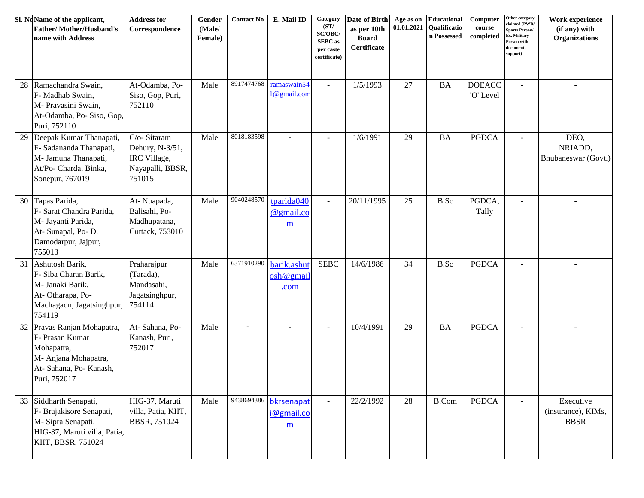|    | Sl. NoName of the applicant,<br><b>Father/Mother/Husband's</b><br>name with Address                                            | <b>Address for</b><br>Correspondence                                         | Gender<br>(Male/<br>Female) | <b>Contact No</b> | E. Mail ID                                                         | Category<br>(ST/<br>SC/OBC/<br><b>SEBC</b> as<br>per caste<br>certificate) | Date of Birth<br>as per 10th<br><b>Board</b><br>Certificate | 01.01.2021 | Age as on Educational<br>Qualificatio<br>n Possessed | Computer<br>course<br>completed | Other category<br>claimed (PWD/<br><b>Sports Person/</b><br>Ex. Military<br>Person with<br>document-<br>support) | Work experience<br>(if any) with<br><b>Organizations</b> |
|----|--------------------------------------------------------------------------------------------------------------------------------|------------------------------------------------------------------------------|-----------------------------|-------------------|--------------------------------------------------------------------|----------------------------------------------------------------------------|-------------------------------------------------------------|------------|------------------------------------------------------|---------------------------------|------------------------------------------------------------------------------------------------------------------|----------------------------------------------------------|
| 28 | Ramachandra Swain,<br>F- Madhab Swain,<br>M- Pravasini Swain,<br>At-Odamba, Po- Siso, Gop,<br>Puri, 752110                     | At-Odamba, Po-<br>Siso, Gop, Puri,<br>752110                                 | Male                        | 8917474768        | ramaswain54<br>1@gmail.com                                         | $\blacksquare$                                                             | 1/5/1993                                                    | 27         | <b>BA</b>                                            | <b>DOEACC</b><br>'O' Level      | $\overline{a}$                                                                                                   |                                                          |
| 29 | Deepak Kumar Thanapati,<br>F- Sadananda Thanapati,<br>M- Jamuna Thanapati,<br>At/Po- Charda, Binka,<br>Sonepur, 767019         | C/o-Sitaram<br>Dehury, N-3/51,<br>IRC Village,<br>Nayapalli, BBSR,<br>751015 | Male                        | 8018183598        |                                                                    | $\blacksquare$                                                             | 1/6/1991                                                    | 29         | <b>BA</b>                                            | <b>PGDCA</b>                    |                                                                                                                  | DEO,<br>NRIADD,<br>Bhubaneswar (Govt.)                   |
| 30 | Tapas Parida,<br>F- Sarat Chandra Parida,<br>M- Jayanti Parida,<br>At- Sunapal, Po-D.<br>Damodarpur, Jajpur,<br>755013         | At-Nuapada,<br>Balisahi, Po-<br>Madhupatana,<br>Cuttack, 753010              | Male                        | 9040248570        | tparida040<br>@gmail.co<br>m                                       | $\sim$                                                                     | 20/11/1995                                                  | 25         | B.Sc                                                 | PGDCA,<br>Tally                 |                                                                                                                  |                                                          |
| 31 | Ashutosh Barik,<br>F- Siba Charan Barik,<br>M- Janaki Barik,<br>At-Otharapa, Po-<br>Machagaon, Jagatsinghpur,<br>754119        | Praharajpur<br>(Tarada),<br>Mandasahi,<br>Jagatsinghpur,<br>754114           | Male                        | 6371910290        | barik.ashut<br>osh@gmail<br>.com                                   | <b>SEBC</b>                                                                | 14/6/1986                                                   | 34         | B.Sc                                                 | <b>PGDCA</b>                    |                                                                                                                  |                                                          |
|    | 32 Pravas Ranjan Mohapatra,<br>F- Prasan Kumar<br>Mohapatra,<br>M-Anjana Mohapatra,<br>At- Sahana, Po- Kanash,<br>Puri, 752017 | At-Sahana, Po-<br>Kanash, Puri,<br>752017                                    | Male                        | $\sim$            |                                                                    | $\blacksquare$                                                             | 10/4/1991                                                   | 29         | <b>BA</b>                                            | <b>PGDCA</b>                    |                                                                                                                  |                                                          |
|    | 33 Siddharth Senapati,<br>F- Brajakisore Senapati,<br>M-Sipra Senapati,<br>HIG-37, Maruti villa, Patia,<br>KIIT, BBSR, 751024  | HIG-37, Maruti<br>villa, Patia, KIIT,<br>BBSR, 751024                        | Male                        |                   | 9438694386 bkrsenapat<br>i@gmail.co<br>$\underline{\underline{m}}$ | $\blacksquare$                                                             | 22/2/1992                                                   | 28         | <b>B.Com</b>                                         | <b>PGDCA</b>                    |                                                                                                                  | Executive<br>(insurance), KIMs,<br><b>BBSR</b>           |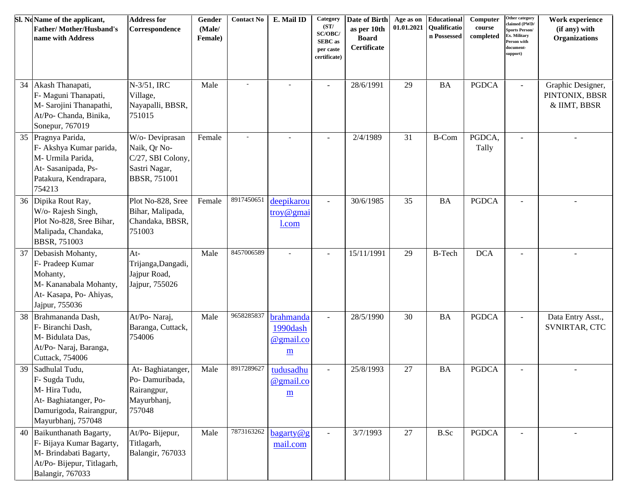|    | Sl. NoName of the applicant,<br><b>Father/Mother/Husband's</b><br>name with Address                                           | <b>Address for</b><br>Correspondence                                                         | Gender<br>(Male/<br>Female) | <b>Contact No</b> | E. Mail ID                                                     | <b>Category</b><br>(ST/<br>SC/OBC/<br><b>SEBC</b> as<br>per caste<br>certificate) | Date of Birth<br>as per 10th<br><b>Board</b><br>Certificate | 01.01.2021 | Age as on Educational<br><b>Qualificatio</b><br>n Possessed | Computer<br>course<br>completed | Other category<br>claimed (PWD/<br>Sports Person/<br>Ex. Military<br>Person with<br>locument-<br>support) | Work experience<br>(if any) with<br><b>Organizations</b> |
|----|-------------------------------------------------------------------------------------------------------------------------------|----------------------------------------------------------------------------------------------|-----------------------------|-------------------|----------------------------------------------------------------|-----------------------------------------------------------------------------------|-------------------------------------------------------------|------------|-------------------------------------------------------------|---------------------------------|-----------------------------------------------------------------------------------------------------------|----------------------------------------------------------|
| 34 | Akash Thanapati,<br>F- Maguni Thanapati,<br>M- Sarojini Thanapathi,<br>At/Po- Chanda, Binika,<br>Sonepur, 767019              | N-3/51, IRC<br>Village,<br>Nayapalli, BBSR,<br>751015                                        | Male                        |                   | $\overline{\phantom{a}}$                                       | ÷,                                                                                | 28/6/1991                                                   | 29         | <b>BA</b>                                                   | <b>PGDCA</b>                    | $\blacksquare$                                                                                            | Graphic Designer,<br>PINTONIX, BBSR<br>& IIMT, BBSR      |
| 35 | Pragnya Parida,<br>F- Akshya Kumar parida,<br>M- Urmila Parida,<br>At-Sasanipada, Ps-<br>Patakura, Kendrapara,<br>754213      | W/o- Deviprasan<br>Naik, Qr No-<br>C/27, SBI Colony,<br>Sastri Nagar,<br><b>BBSR, 751001</b> | Female                      |                   |                                                                |                                                                                   | 2/4/1989                                                    | 31         | <b>B-Com</b>                                                | PGDCA,<br>Tally                 | $\sim$                                                                                                    |                                                          |
|    | 36 Dipika Rout Ray,<br>W/o- Rajesh Singh,<br>Plot No-828, Sree Bihar,<br>Malipada, Chandaka,<br><b>BBSR, 751003</b>           | Plot No-828, Sree<br>Bihar, Malipada,<br>Chandaka, BBSR,<br>751003                           | Female                      | 8917450651        | deepikarou<br>troy@gmai<br>l.com                               | ÷,                                                                                | 30/6/1985                                                   | 35         | <b>BA</b>                                                   | <b>PGDCA</b>                    |                                                                                                           |                                                          |
|    | 37 Debasish Mohanty,<br>F- Pradeep Kumar<br>Mohanty,<br>M- Kananabala Mohanty,<br>At-Kasapa, Po-Ahiyas,<br>Jajpur, 755036     | $At-$<br>Trijanga, Dangadi,<br>Jajpur Road,<br>Jajpur, 755026                                | Male                        | 8457006589        | $\sim$                                                         | $\blacksquare$                                                                    | 15/11/1991                                                  | 29         | <b>B-Tech</b>                                               | <b>DCA</b>                      |                                                                                                           |                                                          |
| 38 | Brahmananda Dash,<br>F- Biranchi Dash,<br>M- Bidulata Das,<br>At/Po- Naraj, Baranga,<br>Cuttack, 754006                       | At/Po-Naraj,<br>Baranga, Cuttack,<br>754006                                                  | Male                        | 9658285837        | brahmanda<br>1990dash<br>@gmail.co<br>$\underline{\mathbf{m}}$ |                                                                                   | 28/5/1990                                                   | 30         | <b>BA</b>                                                   | <b>PGDCA</b>                    |                                                                                                           | Data Entry Asst.,<br>SVNIRTAR, CTC                       |
| 39 | Sadhulal Tudu,<br>F- Sugda Tudu,<br>M-Hira Tudu,<br>At-Baghiatanger, Po-<br>Damurigoda, Rairangpur,<br>Mayurbhanj, 757048     | At-Baghiatanger,<br>Po-Damuribada,<br>Rairangpur,<br>Mayurbhanj,<br>757048                   | Male                        | 8917289627        | tudusadhu<br>@gmail.co<br>m                                    | $\blacksquare$                                                                    | 25/8/1993                                                   | 27         | <b>BA</b>                                                   | <b>PGDCA</b>                    |                                                                                                           |                                                          |
| 40 | Baikunthanath Bagarty,<br>F- Bijaya Kumar Bagarty,<br>M- Brindabati Bagarty,<br>At/Po-Bijepur, Titlagarh,<br>Balangir, 767033 | At/Po-Bijepur,<br>Titlagarh,<br>Balangir, 767033                                             | Male                        | 7873163262        | bagarty@g<br>mail.com                                          |                                                                                   | 3/7/1993                                                    | 27         | B.Sc                                                        | <b>PGDCA</b>                    |                                                                                                           |                                                          |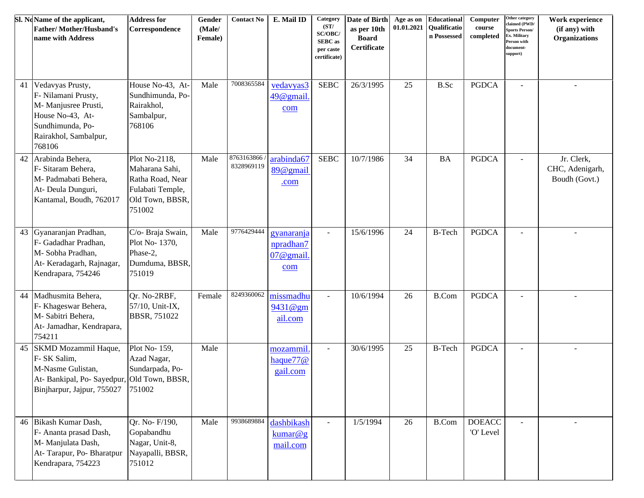|    | Sl. NoName of the applicant,<br><b>Father/Mother/Husband's</b><br>name with Address                                                        | <b>Address for</b><br>Correspondence                                                                 | Gender<br>(Male/<br>Female) | <b>Contact No</b>        | E. Mail ID                                     | Category<br>(ST/<br>SC/OBC/<br><b>SEBC</b> as<br>per caste<br>certificate) | Date of Birth<br>as per 10th<br><b>Board</b><br>Certificate | Age as on<br>01.01.2021 | <b>Educational</b><br>Qualificatio<br>n Possessed | Computer<br>course<br>completed | Other category<br>claimed (PWD/<br><b>Sports Person/</b><br>Ex. Military<br>Person with<br>document-<br>support) | Work experience<br>(if any) with<br><b>Organizations</b> |
|----|--------------------------------------------------------------------------------------------------------------------------------------------|------------------------------------------------------------------------------------------------------|-----------------------------|--------------------------|------------------------------------------------|----------------------------------------------------------------------------|-------------------------------------------------------------|-------------------------|---------------------------------------------------|---------------------------------|------------------------------------------------------------------------------------------------------------------|----------------------------------------------------------|
| 41 | Vedavyas Prusty,<br>F- Nilamani Prusty,<br>M- Manjusree Prusti,<br>House No-43, At-<br>Sundhimunda, Po-<br>Rairakhol, Sambalpur,<br>768106 | House No-43, At-<br>Sundhimunda, Po-<br>Rairakhol,<br>Sambalpur,<br>768106                           | Male                        | 7008365584               | vedavyas3<br>$49@$ gmail.<br>com               | <b>SEBC</b>                                                                | 26/3/1995                                                   | 25                      | B.Sc                                              | <b>PGDCA</b>                    | $\sim$                                                                                                           |                                                          |
| 42 | Arabinda Behera,<br>F- Sitaram Behera,<br>M- Padmabati Behera,<br>At- Deula Dunguri,<br>Kantamal, Boudh, 762017                            | Plot No-2118,<br>Maharana Sahi,<br>Ratha Road, Near<br>Fulabati Temple,<br>Old Town, BBSR,<br>751002 | Male                        | 8763163866<br>8328969119 | arabinda67<br>89@gmail<br>.com                 | <b>SEBC</b>                                                                | 10/7/1986                                                   | 34                      | <b>BA</b>                                         | <b>PGDCA</b>                    | $\sim$                                                                                                           | Jr. Clerk,<br>CHC, Adenigarh,<br>Boudh (Govt.)           |
| 43 | Gyanaranjan Pradhan,<br>F- Gadadhar Pradhan,<br>M-Sobha Pradhan,<br>At-Keradagarh, Rajnagar,<br>Kendrapara, 754246                         | C/o- Braja Swain,<br>Plot No-1370,<br>Phase-2,<br>Dumduma, BBSR,<br>751019                           | Male                        | 9776429444               | gyanaranja<br>npradhan7<br>$07@$ gmail.<br>com | $\blacksquare$                                                             | 15/6/1996                                                   | 24                      | <b>B-Tech</b>                                     | <b>PGDCA</b>                    | $\sim$                                                                                                           |                                                          |
| 44 | Madhusmita Behera,<br>F- Khageswar Behera,<br>M- Sabitri Behera,<br>At- Jamadhar, Kendrapara,<br>754211                                    | Qr. No-2RBF,<br>57/10, Unit-IX,<br>BBSR, 751022                                                      | Female                      | 8249360062               | missmadhu<br>9431@gm<br>ail.com                | $\blacksquare$                                                             | 10/6/1994                                                   | 26                      | <b>B.Com</b>                                      | <b>PGDCA</b>                    | $\sim$                                                                                                           |                                                          |
| 45 | SKMD Mozammil Haque,<br>F- SK Salim,<br>M-Nasme Gulistan,<br>At-Bankipal, Po-Sayedpur, Old Town, BBSR,<br>Binjharpur, Jajpur, 755027       | Plot No-159,<br>Azad Nagar,<br>Sundarpada, Po-<br>751002                                             | Male                        |                          | mozammil<br>haque $77@$<br>gail.com            | $\blacksquare$                                                             | 30/6/1995                                                   | 25                      | <b>B-Tech</b>                                     | <b>PGDCA</b>                    | $\sim$                                                                                                           |                                                          |
| 46 | Bikash Kumar Dash,<br>F- Ananta prasad Dash,<br>M- Manjulata Dash,<br>At-Tarapur, Po-Bharatpur<br>Kendrapara, 754223                       | Qr. No- F/190,<br>Gopabandhu<br>Nagar, Unit-8,<br>Nayapalli, BBSR,<br>751012                         | Male                        | 9938689884               | dashbikash<br>kumar@g<br>mail.com              | $\omega$                                                                   | 1/5/1994                                                    | 26                      | <b>B.Com</b>                                      | <b>DOEACC</b><br>'O' Level      | $\sim$                                                                                                           | $\sim$                                                   |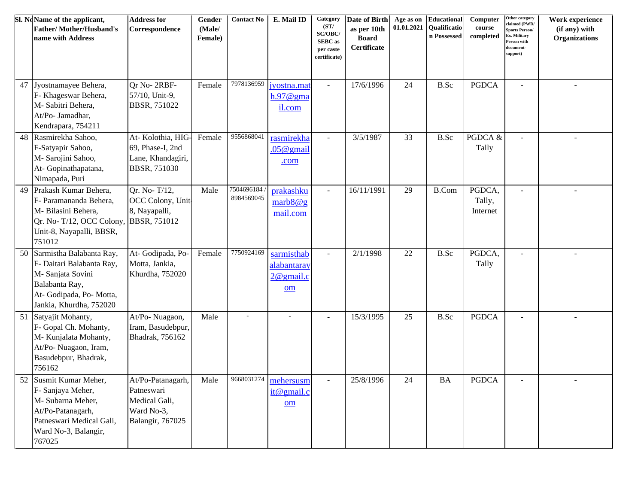|    | Sl. NoName of the applicant,<br><b>Father/Mother/Husband's</b><br>name with Address                                                                   | <b>Address for</b><br>Correspondence                                               | Gender<br>(Male/<br>Female) | <b>Contact No</b>        | E. Mail ID                                      | Category<br>(ST/<br>SC/OBC/<br><b>SEBC</b> as<br>per caste<br>certificate) | Date of Birth<br>as per 10th<br><b>Board</b><br>Certificate | Age as on<br>01.01.2021 | <b>Educational</b><br>Qualificatio<br>n Possessed | Computer<br>course<br>completed | Other category<br>claimed (PWD/<br><b>Sports Person/</b><br>Ex. Military<br>Person with<br>document-<br>support) | Work experience<br>(if any) with<br><b>Organizations</b> |
|----|-------------------------------------------------------------------------------------------------------------------------------------------------------|------------------------------------------------------------------------------------|-----------------------------|--------------------------|-------------------------------------------------|----------------------------------------------------------------------------|-------------------------------------------------------------|-------------------------|---------------------------------------------------|---------------------------------|------------------------------------------------------------------------------------------------------------------|----------------------------------------------------------|
| 47 | Jyostnamayee Behera,<br>F- Khageswar Behera,<br>M- Sabitri Behera,<br>At/Po- Jamadhar,<br>Kendrapara, 754211                                          | Or No-2RBF-<br>57/10, Unit-9,<br><b>BBSR, 751022</b>                               | Female                      | 7978136959               | jyostna.mat<br>$h.97@$ gma<br>il.com            | $\blacksquare$                                                             | 17/6/1996                                                   | 24                      | B.Sc                                              | <b>PGDCA</b>                    | $\sim$                                                                                                           |                                                          |
| 48 | Rasmirekha Sahoo,<br>F-Satyapir Sahoo,<br>M- Sarojini Sahoo,<br>At-Gopinathapatana,<br>Nimapada, Puri                                                 | At-Kolothia, HIG-<br>69, Phase-I, 2nd<br>Lane, Khandagiri,<br><b>BBSR, 751030</b>  | Female                      | 9556868041               | rasmirekha<br>$.05@$ gmail<br>.com              | $\blacksquare$                                                             | 3/5/1987                                                    | 33                      | B.Sc                                              | PGDCA &<br>Tally                |                                                                                                                  |                                                          |
| 49 | Prakash Kumar Behera,<br>F- Paramananda Behera,<br>M- Bilasini Behera,<br>Qr. No-T/12, OCC Colony, BBSR, 751012<br>Unit-8, Nayapalli, BBSR,<br>751012 | Or. No-T/12,<br>OCC Colony, Unit-<br>8, Nayapalli,                                 | Male                        | 7504696184<br>8984569045 | prakashku<br>marb8@g<br>mail.com                | $\blacksquare$                                                             | 16/11/1991                                                  | 29                      | <b>B.Com</b>                                      | PGDCA,<br>Tally,<br>Internet    |                                                                                                                  |                                                          |
| 50 | Sarmistha Balabanta Ray,<br>F- Daitari Balabanta Ray,<br>M- Sanjata Sovini<br>Balabanta Ray,<br>At-Godipada, Po-Motta,<br>Jankia, Khurdha, 752020     | At- Godipada, Po-<br>Motta, Jankia,<br>Khurdha, 752020                             | Female                      | 7750924169               | sarmisthab<br>alabantaray<br>$2@$ gmail.c<br>om | $\overline{\phantom{a}}$                                                   | 2/1/1998                                                    | 22                      | B.Sc                                              | PGDCA,<br>Tally                 |                                                                                                                  |                                                          |
| 51 | Satyajit Mohanty,<br>F- Gopal Ch. Mohanty,<br>M- Kunjalata Mohanty,<br>At/Po- Nuagaon, Iram,<br>Basudebpur, Bhadrak,<br>756162                        | At/Po-Nuagaon,<br>Iram, Basudebpur,<br>Bhadrak, 756162                             | Male                        | $\overline{\phantom{a}}$ |                                                 | $\overline{a}$                                                             | 15/3/1995                                                   | 25                      | B.Sc                                              | <b>PGDCA</b>                    |                                                                                                                  |                                                          |
|    | 52 Susmit Kumar Meher,<br>F- Sanjaya Meher,<br>M- Subarna Meher,<br>At/Po-Patanagarh,<br>Patneswari Medical Gali,<br>Ward No-3, Balangir,<br>767025   | At/Po-Patanagarh,<br>Patneswari<br>Medical Gali,<br>Ward No-3,<br>Balangir, 767025 | Male                        | 9668031274               | mehersusm<br>it@gmail.c<br>om                   |                                                                            | 25/8/1996                                                   | 24                      | <b>BA</b>                                         | <b>PGDCA</b>                    |                                                                                                                  |                                                          |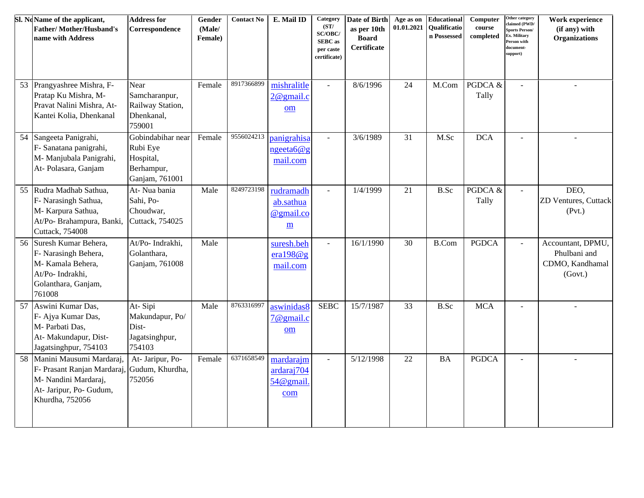|    | Sl. No Name of the applicant,<br><b>Father/Mother/Husband's</b><br>name with Address                                         | <b>Address for</b><br>Correspondence                                       | Gender<br>(Male/<br>Female) | <b>Contact No</b> | E. Mail ID                                  | Category<br>(ST/<br>SC/OBC/<br><b>SEBC</b> as<br>per caste<br>certificate) | Date of Birth<br>as per 10th<br><b>Board</b><br>Certificate | Age as on<br>01.01.2021 | <b>Educational</b><br>Qualificatio<br>n Possessed | Computer<br>course<br>completed | Other category<br>claimed (PWD/<br><b>Sports Person/</b><br>Ex. Military<br><b>Person with</b><br>document-<br>support) | Work experience<br>(if any) with<br><b>Organizations</b>        |
|----|------------------------------------------------------------------------------------------------------------------------------|----------------------------------------------------------------------------|-----------------------------|-------------------|---------------------------------------------|----------------------------------------------------------------------------|-------------------------------------------------------------|-------------------------|---------------------------------------------------|---------------------------------|-------------------------------------------------------------------------------------------------------------------------|-----------------------------------------------------------------|
| 53 | Prangyashree Mishra, F-<br>Pratap Ku Mishra, M-<br>Pravat Nalini Mishra, At-<br>Kantei Kolia, Dhenkanal                      | Near<br>Samcharanpur,<br>Railway Station,<br>Dhenkanal,<br>759001          | Female                      | 8917366899        | mishralitle<br>$2@$ gmail.c<br>om           | $\blacksquare$                                                             | 8/6/1996                                                    | 24                      | M.Com                                             | PGDCA &<br>Tally                |                                                                                                                         |                                                                 |
| 54 | Sangeeta Panigrahi,<br>F- Sanatana panigrahi,<br>M- Manjubala Panigrahi,<br>At-Polasara, Ganjam                              | Gobindabihar near<br>Rubi Eye<br>Hospital,<br>Berhampur,<br>Ganjam, 761001 | Female                      | 9556024213        | panigrahisa<br>$n$ geeta $6@g$<br>mail.com  | $\blacksquare$                                                             | 3/6/1989                                                    | 31                      | M.Sc                                              | <b>DCA</b>                      | $\sim$                                                                                                                  |                                                                 |
| 55 | Rudra Madhab Sathua,<br>F- Narasingh Sathua,<br>M- Karpura Sathua,<br>At/Po- Brahampura, Banki,<br>Cuttack, 754008           | At- Nua bania<br>Sahi, Po-<br>Choudwar,<br>Cuttack, 754025                 | Male                        | 8249723198        | rudramadh<br>ab.sathua<br>@gmail.co<br>m    |                                                                            | 1/4/1999                                                    | 21                      | <b>B.Sc</b>                                       | PGDCA $&$<br>Tally              |                                                                                                                         | DEO,<br>ZD Ventures, Cuttack<br>(Pvt.)                          |
| 56 | Suresh Kumar Behera,<br>F- Narasingh Behera,<br>M-Kamala Behera,<br>At/Po- Indrakhi,<br>Golanthara, Ganjam,<br>761008        | At/Po- Indrakhi,<br>Golanthara,<br>Ganjam, 761008                          | Male                        |                   | suresh.beh<br>era $198@g$<br>mail.com       | $\blacksquare$                                                             | 16/1/1990                                                   | 30                      | <b>B.Com</b>                                      | <b>PGDCA</b>                    | $\sim$                                                                                                                  | Accountant, DPMU,<br>Phulbani and<br>CDMO, Kandhamal<br>(Govt.) |
| 57 | Aswini Kumar Das,<br>F- Ajya Kumar Das,<br>M- Parbati Das,<br>At- Makundapur, Dist-<br>Jagatsinghpur, 754103                 | At-Sipi<br>Makundapur, Po/<br>Dist-<br>Jagatsinghpur,<br>754103            | Male                        | 8763316997        | aswinidas8<br>7@gmail.c<br>om               | <b>SEBC</b>                                                                | 15/7/1987                                                   | 33                      | B.Sc                                              | <b>MCA</b>                      |                                                                                                                         |                                                                 |
| 58 | Manini Mausumi Mardaraj,<br>F- Prasant Ranjan Mardaraj<br>M- Nandini Mardaraj,<br>At- Jaripur, Po- Gudum,<br>Khurdha, 752056 | At- Jaripur, Po-<br>Gudum, Khurdha,<br>752056                              | Female                      | 6371658549        | mardarajm<br>ardaraj704<br>54@gmail.<br>com | $\blacksquare$                                                             | 5/12/1998                                                   | 22                      | <b>BA</b>                                         | <b>PGDCA</b>                    |                                                                                                                         |                                                                 |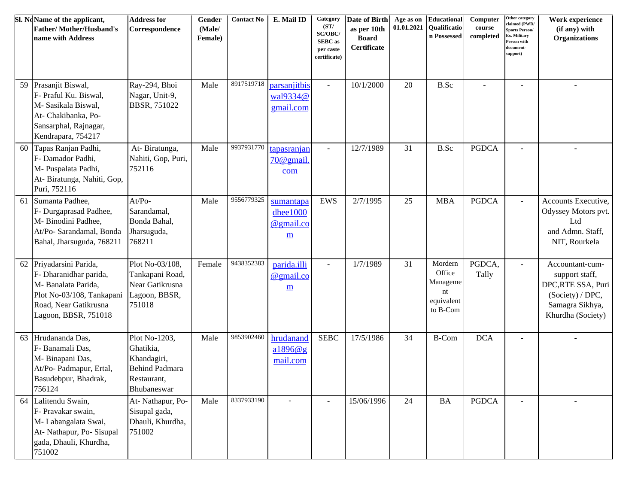|    | Sl. NoName of the applicant,<br><b>Father/Mother/Husband's</b><br>name with Address                                                                    | <b>Address for</b><br>Correspondence                                                      | Gender<br>(Male/<br>Female) | <b>Contact No</b> | E. Mail ID                                                     | Category<br>(ST/<br>SC/OBC/<br><b>SEBC</b> as<br>per caste<br>certificate) | Date of Birth<br>as per 10th<br><b>Board</b><br>Certificate | 01.01.2021 | Age as on Educational<br><b>Qualificatio</b><br>n Possessed   | Computer<br>course<br>completed | Other category<br>claimed (PWD/<br>ports Person/<br>Ex. Military<br>erson with<br>locument-<br>upport) | Work experience<br>(if any) with<br><b>Organizations</b>                                                           |
|----|--------------------------------------------------------------------------------------------------------------------------------------------------------|-------------------------------------------------------------------------------------------|-----------------------------|-------------------|----------------------------------------------------------------|----------------------------------------------------------------------------|-------------------------------------------------------------|------------|---------------------------------------------------------------|---------------------------------|--------------------------------------------------------------------------------------------------------|--------------------------------------------------------------------------------------------------------------------|
| 59 | Prasanjit Biswal,<br>F- Praful Ku. Biswal,<br>M- Sasikala Biswal,<br>At- Chakibanka, Po-<br>Sansarphal, Rajnagar,<br>Kendrapara, 754217                | Ray-294, Bhoi<br>Nagar, Unit-9,<br><b>BBSR, 751022</b>                                    | Male                        | 8917519718        | parsanjitbis<br>wal9334@<br>gmail.com                          | $\blacksquare$                                                             | 10/1/2000                                                   | 20         | <b>B.Sc</b>                                                   |                                 | $\overline{\phantom{a}}$                                                                               |                                                                                                                    |
| 60 | Tapas Ranjan Padhi,<br>F- Damador Padhi,<br>M- Puspalata Padhi,<br>At-Biratunga, Nahiti, Gop,<br>Puri, 752116                                          | At-Biratunga,<br>Nahiti, Gop, Puri,<br>752116                                             | Male                        | 9937931770        | tapasranjan<br>$70@$ gmail.<br>com                             | $\blacksquare$                                                             | 12/7/1989                                                   | 31         | <b>B.Sc</b>                                                   | <b>PGDCA</b>                    | $\sim$                                                                                                 |                                                                                                                    |
| 61 | Sumanta Padhee,<br>F- Durgaprasad Padhee,<br>M- Binodini Padhee,<br>At/Po- Sarandamal, Bonda<br>Bahal, Jharsuguda, 768211                              | $At/Po-$<br>Sarandamal,<br>Bonda Bahal,<br>Jharsuguda,<br>768211                          | Male                        | 9556779325        | sumantapa<br>dhee1000<br>@gmail.co<br>$\underline{\mathbf{m}}$ | <b>EWS</b>                                                                 | 2/7/1995                                                    | 25         | <b>MBA</b>                                                    | <b>PGDCA</b>                    | $\overline{\phantom{a}}$                                                                               | Accounts Executive,<br>Odyssey Motors pvt.<br>Ltd<br>and Admn. Staff,<br>NIT, Rourkela                             |
|    | 62 Priyadarsini Parida,<br>F- Dharanidhar parida,<br>M- Banalata Parida,<br>Plot No-03/108, Tankapani<br>Road, Near Gatikrusna<br>Lagoon, BBSR, 751018 | Plot No-03/108,<br>Tankapani Road,<br>Near Gatikrusna<br>Lagoon, BBSR,<br>751018          | Female                      | 9438352383        | parida.illi<br>@gmail.co<br>$\underline{\mathbf{m}}$           |                                                                            | 1/7/1989                                                    | 31         | Mordern<br>Office<br>Manageme<br>nt<br>equivalent<br>to B-Com | PGDCA,<br>Tally                 | $\blacksquare$                                                                                         | Accountant-cum-<br>support staff,<br>DPC,RTE SSA, Puri<br>(Society) / DPC,<br>Samagra Sikhya,<br>Khurdha (Society) |
| 63 | Hrudananda Das,<br>F- Banamali Das,<br>M-Binapani Das,<br>At/Po- Padmapur, Ertal,<br>Basudebpur, Bhadrak,<br>756124                                    | Plot No-1203,<br>Ghatikia,<br>Khandagiri,<br>Behind Padmara<br>Restaurant,<br>Bhubaneswar | Male                        | 9853902460        | hrudanand<br>a1896@g<br>mail.com                               | <b>SEBC</b>                                                                | 17/5/1986                                                   | 34         | <b>B-Com</b>                                                  | <b>DCA</b>                      |                                                                                                        |                                                                                                                    |
| 64 | Lalitendu Swain,<br>F- Pravakar swain,<br>M-Labangalata Swai,<br>At- Nathapur, Po- Sisupal<br>gada, Dhauli, Khurdha,<br>751002                         | At- Nathapur, Po-<br>Sisupal gada,<br>Dhauli, Khurdha,<br>751002                          | Male                        | 8337933190        |                                                                |                                                                            | 15/06/1996                                                  | 24         | <b>BA</b>                                                     | <b>PGDCA</b>                    |                                                                                                        |                                                                                                                    |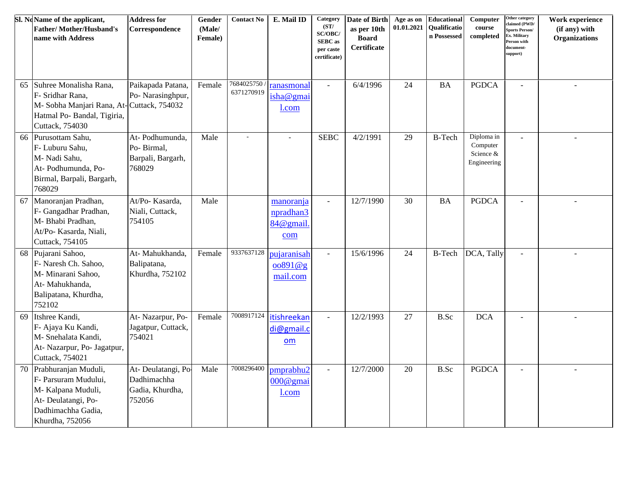|    | Sl. NoName of the applicant,<br><b>Father/Mother/Husband's</b><br>name with Address                                                      | <b>Address for</b><br>Correspondence                          | Gender<br>(Male/<br>Female) | <b>Contact No</b>         | E. Mail ID                                    | Category<br>(ST/<br>SC/OBC/<br><b>SEBC</b> as<br>per caste<br>certificate) | Date of Birth<br>as per 10th<br><b>Board</b><br>Certificate | Age as on<br>01.01.2021 | <b>Educational</b><br><b>Oualificatio</b><br>n Possessed | Computer<br>course<br>completed                    | Other category<br>claimed (PWD/<br><b>Sports Person/</b><br>Ex. Military<br>Person with<br>document-<br>support) | Work experience<br>(if any) with<br><b>Organizations</b> |
|----|------------------------------------------------------------------------------------------------------------------------------------------|---------------------------------------------------------------|-----------------------------|---------------------------|-----------------------------------------------|----------------------------------------------------------------------------|-------------------------------------------------------------|-------------------------|----------------------------------------------------------|----------------------------------------------------|------------------------------------------------------------------------------------------------------------------|----------------------------------------------------------|
| 65 | Suhree Monalisha Rana,<br>F- Sridhar Rana,<br>M-Sobha Manjari Rana, At-Cuttack, 754032<br>Hatmal Po- Bandal, Tigiria,<br>Cuttack, 754030 | Paikapada Patana,<br>Po- Narasinghpur,                        | Female                      | 7684025750/<br>6371270919 | ranasmonal<br>isha@gmai<br>l.com              | $\mathbb{Z}^2$                                                             | 6/4/1996                                                    | 24                      | <b>BA</b>                                                | <b>PGDCA</b>                                       | $\sim$                                                                                                           | $\sim$                                                   |
| 66 | Purusottam Sahu,<br>F- Luburu Sahu,<br>M- Nadi Sahu,<br>At-Podhumunda, Po-<br>Birmal, Barpali, Bargarh,<br>768029                        | At-Podhumunda,<br>Po-Birmal,<br>Barpali, Bargarh,<br>768029   | Male                        | $\sim$                    | $\overline{\phantom{a}}$                      | <b>SEBC</b>                                                                | 4/2/1991                                                    | 29                      | <b>B-Tech</b>                                            | Diploma in<br>Computer<br>Science &<br>Engineering |                                                                                                                  |                                                          |
| 67 | Manoranjan Pradhan,<br>F- Gangadhar Pradhan,<br>M- Bhabi Pradhan,<br>At/Po- Kasarda, Niali,<br>Cuttack, 754105                           | At/Po-Kasarda,<br>Niali, Cuttack,<br>754105                   | Male                        |                           | manoranja<br>npradhan3<br>84@gmail<br>com     | $\mathbb{Z}^2$                                                             | 12/7/1990                                                   | 30                      | <b>BA</b>                                                | <b>PGDCA</b>                                       | $\sim$                                                                                                           | ÷.                                                       |
| 68 | Pujarani Sahoo,<br>F- Naresh Ch. Sahoo,<br>M- Minarani Sahoo,<br>At- Mahukhanda,<br>Balipatana, Khurdha,<br>752102                       | At- Mahukhanda,<br>Balipatana,<br>Khurdha, 752102             | Female                      | 9337637128                | pujaranisah<br>$\cos 91 \omega g$<br>mail.com | $\omega$                                                                   | 15/6/1996                                                   | 24                      | <b>B-Tech</b>                                            | DCA, Tally                                         | $\sim$                                                                                                           | $\overline{\phantom{a}}$                                 |
| 69 | Itshree Kandi,<br>F- Ajaya Ku Kandi,<br>M- Snehalata Kandi,<br>At- Nazarpur, Po- Jagatpur,<br>Cuttack, 754021                            | At- Nazarpur, Po-<br>Jagatpur, Cuttack,<br>754021             | Female                      | 7008917124                | itishreekan<br>di@gmail.c<br>om               | $\blacksquare$                                                             | 12/2/1993                                                   | 27                      | B.Sc                                                     | <b>DCA</b>                                         |                                                                                                                  |                                                          |
| 70 | Prabhuranjan Muduli,<br>F- Parsuram Mudului,<br>M-Kalpana Muduli,<br>At- Deulatangi, Po-<br>Dadhimachha Gadia,<br>Khurdha, 752056        | At-Deulatangi, Po<br>Dadhimachha<br>Gadia, Khurdha,<br>752056 | Male                        | 7008296400                | pmprabhu2<br>000@gmai<br>l.com                | $\omega$                                                                   | 12/7/2000                                                   | 20                      | B.Sc                                                     | <b>PGDCA</b>                                       | $\overline{\phantom{a}}$                                                                                         | $\overline{\phantom{a}}$                                 |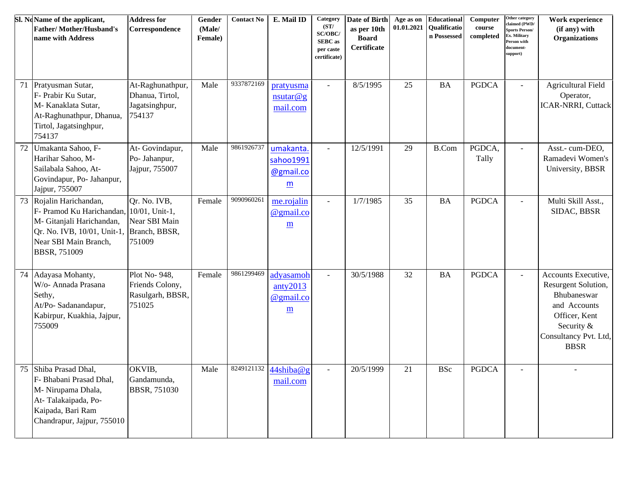|    | Sl. NoName of the applicant,<br><b>Father/Mother/Husband's</b><br>name with Address                                                                       | <b>Address for</b><br>Correspondence                                       | Gender<br>(Male/<br>Female) | <b>Contact No</b> | E. Mail ID                                                     | Category<br>(ST/<br>SC/OBC/<br><b>SEBC</b> as<br>per caste<br>certificate) | Date of Birth<br>as per 10th<br><b>Board</b><br>Certificate | Age as on<br>01.01.2021 | Educational<br><b>Oualificatio</b><br>n Possessed | Computer<br>course<br>completed | Other category<br>claimed (PWD/<br>Sports Person/<br>x. Military<br>erson with<br>locument-<br>upport) | Work experience<br>(if any) with<br><b>Organizations</b>                                                                                         |
|----|-----------------------------------------------------------------------------------------------------------------------------------------------------------|----------------------------------------------------------------------------|-----------------------------|-------------------|----------------------------------------------------------------|----------------------------------------------------------------------------|-------------------------------------------------------------|-------------------------|---------------------------------------------------|---------------------------------|--------------------------------------------------------------------------------------------------------|--------------------------------------------------------------------------------------------------------------------------------------------------|
| 71 | Pratyusman Sutar,<br>F- Prabir Ku Sutar,<br>M- Kanaklata Sutar,<br>At-Raghunathpur, Dhanua,<br>Tirtol, Jagatsinghpur,<br>754137                           | At-Raghunathpur,<br>Dhanua, Tirtol,<br>Jagatsinghpur,<br>754137            | Male                        | 9337872169        | pratyusma<br>$n$ sutar@g<br>mail.com                           | $\sim$                                                                     | 8/5/1995                                                    | 25                      | <b>BA</b>                                         | <b>PGDCA</b>                    | $\sim$                                                                                                 | <b>Agricultural Field</b><br>Operator,<br><b>ICAR-NRRI, Cuttack</b>                                                                              |
| 72 | Umakanta Sahoo, F-<br>Harihar Sahoo, M-<br>Sailabala Sahoo, At-<br>Govindapur, Po- Jahanpur,<br>Jajpur, 755007                                            | At-Govindapur,<br>Po- Jahanpur,<br>Jajpur, 755007                          | Male                        | 9861926737        | umakanta.<br>sahoo1991<br>@gmail.co<br>m                       | $\overline{\phantom{a}}$                                                   | 12/5/1991                                                   | 29                      | <b>B.Com</b>                                      | PGDCA,<br>Tally                 | $\overline{\phantom{a}}$                                                                               | Asst.- cum-DEO,<br>Ramadevi Women's<br>University, BBSR                                                                                          |
|    | 73 Rojalin Harichandan,<br>F- Pramod Ku Harichandan,<br>M- Gitanjali Harichandan,<br>Qr. No. IVB, 10/01, Unit-1,<br>Near SBI Main Branch,<br>BBSR, 751009 | Qr. No. IVB,<br>10/01, Unit-1,<br>Near SBI Main<br>Branch, BBSR,<br>751009 | Female                      | 9090960261        | me.rojalin<br>@gmail.co<br>m                                   | $\sim$                                                                     | 1/7/1985                                                    | 35                      | <b>BA</b>                                         | <b>PGDCA</b>                    | $\sim$                                                                                                 | Multi Skill Asst.,<br>SIDAC, BBSR                                                                                                                |
| 74 | Adayasa Mohanty,<br>W/o- Annada Prasana<br>Sethy,<br>At/Po-Sadanandapur,<br>Kabirpur, Kuakhia, Jajpur,<br>755009                                          | Plot No-948,<br>Friends Colony,<br>Rasulgarh, BBSR,<br>751025              | Female                      | 9861299469        | adyasamoh<br>anty2013<br>@gmail.co<br>$\underline{\mathbf{m}}$ | $\sim$                                                                     | 30/5/1988                                                   | 32                      | <b>BA</b>                                         | <b>PGDCA</b>                    | $\sim$                                                                                                 | Accounts Executive,<br>Resurgent Solution,<br>Bhubaneswar<br>and Accounts<br>Officer, Kent<br>Security &<br>Consultancy Pvt. Ltd,<br><b>BBSR</b> |
| 75 | Shiba Prasad Dhal,<br>F- Bhabani Prasad Dhal,<br>M- Nirupama Dhala,<br>At-Talakaipada, Po-<br>Kaipada, Bari Ram<br>Chandrapur, Jajpur, 755010             | OKVIB,<br>Gandamunda,<br><b>BBSR, 751030</b>                               | Male                        | 8249121132        | 44shiba@g<br>mail.com                                          | $\overline{\phantom{a}}$                                                   | 20/5/1999                                                   | 21                      | <b>BSc</b>                                        | <b>PGDCA</b>                    | $\overline{a}$                                                                                         |                                                                                                                                                  |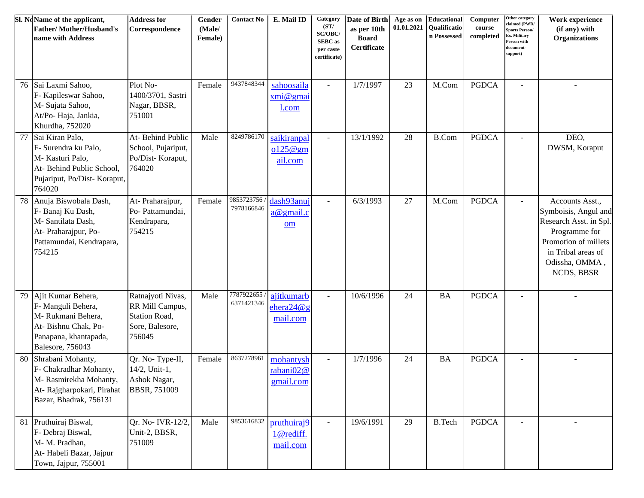|    | Sl. NoName of the applicant,<br><b>Father/Mother/Husband's</b><br>name with Address                                                | <b>Address for</b><br>Correspondence                                               | Gender<br>(Male/<br>Female) | <b>Contact No</b>        | E. Mail ID                                       | Category<br>(ST/<br>SC/OBC/<br><b>SEBC</b> as<br>per caste<br>certificate) | Date of Birth<br>as per 10th<br><b>Board</b><br>Certificate | Age as on<br>01.01.2021 | <b>Educational</b><br>Qualificatio<br>n Possessed | Computer<br>course<br>completed | Other category<br>claimed (PWD/<br><b>Sports Person/</b><br>Ex. Military<br>Person with<br>document-<br>support) | Work experience<br>(if any) with<br><b>Organizations</b>                                                                                                         |
|----|------------------------------------------------------------------------------------------------------------------------------------|------------------------------------------------------------------------------------|-----------------------------|--------------------------|--------------------------------------------------|----------------------------------------------------------------------------|-------------------------------------------------------------|-------------------------|---------------------------------------------------|---------------------------------|------------------------------------------------------------------------------------------------------------------|------------------------------------------------------------------------------------------------------------------------------------------------------------------|
| 76 | Sai Laxmi Sahoo,<br>F- Kapileswar Sahoo,<br>M- Sujata Sahoo,<br>At/Po-Haja, Jankia,<br>Khurdha, 752020                             | Plot No-<br>1400/3701, Sastri<br>Nagar, BBSR,<br>751001                            | Female                      | 9437848344               | sahoosaila<br>xmi@gmai<br>1.com                  | $\overline{\phantom{a}}$                                                   | 1/7/1997                                                    | 23                      | M.Com                                             | <b>PGDCA</b>                    |                                                                                                                  |                                                                                                                                                                  |
| 77 | Sai Kiran Palo,<br>F- Surendra ku Palo,<br>M-Kasturi Palo,<br>At-Behind Public School,<br>Pujariput, Po/Dist-Koraput,<br>764020    | At-Behind Public<br>School, Pujariput,<br>Po/Dist-Koraput,<br>764020               | Male                        | 8249786170               | saikiranpal<br>0125@gm<br>ail.com                | $\overline{\phantom{a}}$                                                   | 13/1/1992                                                   | 28                      | <b>B.Com</b>                                      | <b>PGDCA</b>                    |                                                                                                                  | DEO,<br>DWSM, Koraput                                                                                                                                            |
| 78 | Anuja Biswobala Dash,<br>F- Banaj Ku Dash,<br>M-Santilata Dash,<br>At- Praharajpur, Po-<br>Pattamundai, Kendrapara,<br>754215      | At-Praharajpur,<br>Po- Pattamundai,<br>Kendrapara,<br>754215                       | Female                      | 9853723756<br>7978166846 | dash93anuj<br>$a@$ gmail.c<br>om                 |                                                                            | 6/3/1993                                                    | 27                      | M.Com                                             | <b>PGDCA</b>                    |                                                                                                                  | Accounts Asst.,<br>Symboisis, Angul and<br>Research Asst. in Spl.<br>Programme for<br>Promotion of millets<br>in Tribal areas of<br>Odissha, OMMA,<br>NCDS, BBSR |
| 79 | Ajit Kumar Behera,<br>F- Manguli Behera,<br>M-Rukmani Behera,<br>At- Bishnu Chak, Po-<br>Panapana, khantapada,<br>Balesore, 756043 | Ratnajyoti Nivas,<br>RR Mill Campus,<br>Station Road,<br>Sore, Balesore,<br>756045 | Male                        | 7787922655<br>6371421346 | ajitkumarb<br>e <sub>hera24</sub> @g<br>mail.com | $\sim$                                                                     | 10/6/1996                                                   | 24                      | <b>BA</b>                                         | <b>PGDCA</b>                    | $\overline{\phantom{a}}$                                                                                         | ÷                                                                                                                                                                |
| 80 | Shrabani Mohanty,<br>F- Chakradhar Mohanty,<br>M-Rasmirekha Mohanty,<br>At-Rajgharpokari, Pirahat<br>Bazar, Bhadrak, 756131        | Qr. No-Type-II,<br>14/2, Unit-1,<br>Ashok Nagar,<br><b>BBSR, 751009</b>            | Female                      | 8637278961               | mohantysh<br>rabani02@<br>gmail.com              | $\overline{\phantom{a}}$                                                   | 1/7/1996                                                    | 24                      | <b>BA</b>                                         | <b>PGDCA</b>                    |                                                                                                                  |                                                                                                                                                                  |
|    | 81 Pruthuiraj Biswal,<br>F- Debraj Biswal,<br>M-M. Pradhan,<br>At-Habeli Bazar, Jajpur<br>Town, Jajpur, 755001                     | Qr. No- IVR-12/2,<br>Unit-2, BBSR,<br>751009                                       | Male                        | 9853616832               | pruthuiraj9<br>1@rediff.<br>mail.com             |                                                                            | 19/6/1991                                                   | 29                      | <b>B.Tech</b>                                     | <b>PGDCA</b>                    |                                                                                                                  |                                                                                                                                                                  |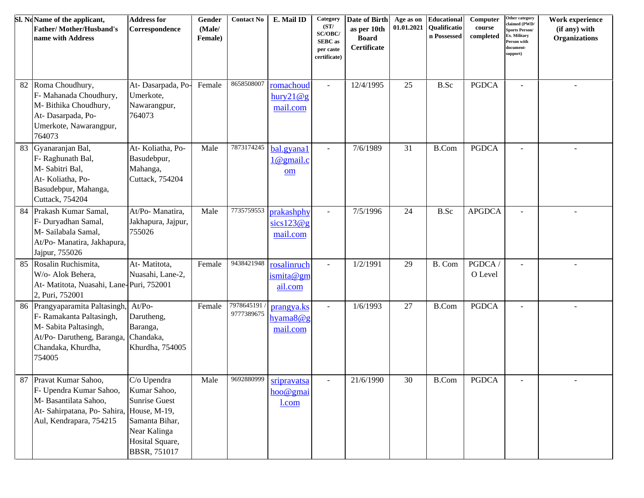|    | Sl. NoName of the applicant,<br><b>Father/Mother/Husband's</b><br>name with Address                                                               | <b>Address for</b><br>Correspondence                                                                                            | Gender<br>(Male/<br>Female) | <b>Contact No</b>         | E. Mail ID                             | Category<br>(ST/<br>SC/OBC/<br><b>SEBC</b> as<br>per caste<br>certificate) | Date of Birth<br>as per 10th<br><b>Board</b><br>Certificate | Age as on<br>01.01.2021 | Educational<br>Qualificatio<br>n Possessed | Computer<br>course<br>completed | Other category<br>claimed (PWD/<br><b>Sports Person/</b><br>Ex. Military<br>Person with<br>document-<br>support) | Work experience<br>(if any) with<br><b>Organizations</b> |
|----|---------------------------------------------------------------------------------------------------------------------------------------------------|---------------------------------------------------------------------------------------------------------------------------------|-----------------------------|---------------------------|----------------------------------------|----------------------------------------------------------------------------|-------------------------------------------------------------|-------------------------|--------------------------------------------|---------------------------------|------------------------------------------------------------------------------------------------------------------|----------------------------------------------------------|
| 82 | Roma Choudhury,<br>F- Mahanada Choudhury,<br>M- Bithika Choudhury,<br>At-Dasarpada, Po-<br>Umerkote, Nawarangpur,<br>764073                       | At-Dasarpada, Po-<br>Umerkote,<br>Nawarangpur,<br>764073                                                                        | Female                      | 8658508007                | romachoud<br>hury21@g<br>mail.com      | $\blacksquare$                                                             | 12/4/1995                                                   | 25                      | <b>B.Sc</b>                                | <b>PGDCA</b>                    | $\sim$                                                                                                           |                                                          |
| 83 | Gyanaranjan Bal,<br>F- Raghunath Bal,<br>M-Sabitri Bal,<br>At-Koliatha, Po-<br>Basudebpur, Mahanga,<br>Cuttack, 754204                            | At-Koliatha, Po-<br>Basudebpur,<br>Mahanga,<br>Cuttack, 754204                                                                  | Male                        | 7873174245                | bal.gyana1<br>$1@$ gmail.c<br>om       | $\blacksquare$                                                             | 7/6/1989                                                    | 31                      | <b>B.Com</b>                               | <b>PGDCA</b>                    | $\sim$                                                                                                           |                                                          |
| 84 | Prakash Kumar Samal,<br>F- Duryadhan Samal,<br>M-Sailabala Samal,<br>At/Po- Manatira, Jakhapura,<br>Jajpur, 755026                                | At/Po-Manatira,<br>Jakhapura, Jajpur,<br>755026                                                                                 | Male                        | 7735759553                | prakashphy<br>sics123@g<br>mail.com    | $\blacksquare$                                                             | 7/5/1996                                                    | 24                      | B.Sc                                       | <b>APGDCA</b>                   | $\sim$                                                                                                           |                                                          |
| 85 | Rosalin Ruchismita,<br>W/o- Alok Behera,<br>At- Matitota, Nuasahi, Lane-Puri, 752001<br>2, Puri, 752001                                           | At-Matitota,<br>Nuasahi, Lane-2,                                                                                                | Female                      | 9438421948                | rosalinruch<br>ismit a @ gm<br>ail.com | $\mathbb{Z}^2$                                                             | 1/2/1991                                                    | 29                      | B. Com                                     | PGDCA<br>O Level                | $\overline{a}$                                                                                                   |                                                          |
|    | 86 Prangyaparamita Paltasingh,<br>F- Ramakanta Paltasingh,<br>M-Sabita Paltasingh,<br>At/Po-Darutheng, Baranga,<br>Chandaka, Khurdha,<br>754005   | $At/Po-$<br>Darutheng,<br>Baranga,<br>Chandaka,<br>Khurdha, 754005                                                              | Female                      | 7978645191/<br>9777389675 | prangya.ks<br>hyama $8@g$<br>mail.com  | $\omega$                                                                   | 1/6/1993                                                    | 27                      | <b>B.Com</b>                               | <b>PGDCA</b>                    |                                                                                                                  |                                                          |
|    | 87 Pravat Kumar Sahoo,<br>F- Upendra Kumar Sahoo,<br>M-Basantilata Sahoo,<br>At- Sahirpatana, Po- Sahira, House, M-19,<br>Aul, Kendrapara, 754215 | C/o Upendra<br>Kumar Sahoo,<br><b>Sunrise Guest</b><br>Samanta Bihar,<br>Near Kalinga<br>Hosital Square,<br><b>BBSR, 751017</b> | Male                        | 9692880999                | sripravatsa<br>hoo@gmai<br>l.com       |                                                                            | 21/6/1990                                                   | 30                      | $\operatorname{B.Com}$                     | PGDCA                           |                                                                                                                  |                                                          |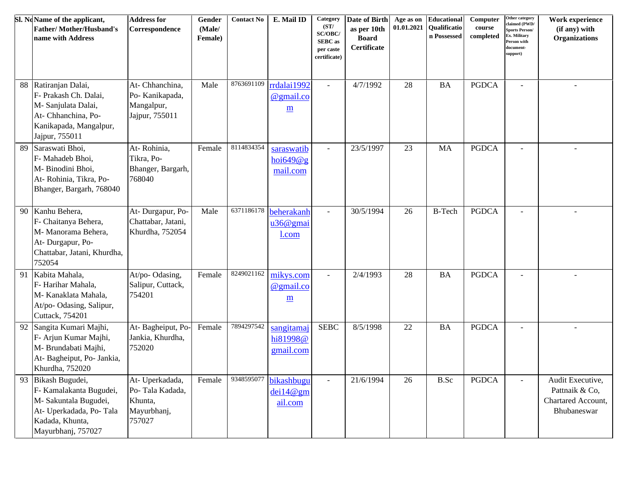|    | Sl. NoName of the applicant,<br><b>Father/Mother/Husband's</b><br>name with Address                                                    | <b>Address for</b><br>Correspondence                                   | Gender<br>(Male/<br>Female) | <b>Contact No</b> | E. Mail ID                          | Category<br>(ST/<br>SC/OBC/<br><b>SEBC</b> as<br>per caste<br>certificate) | Date of Birth<br>as per 10th<br><b>Board</b><br>Certificate | Age as on<br>01.01.2021 | Educational<br>Qualificatio<br>n Possessed | Computer<br>course<br>completed | Other category<br>claimed (PWD/<br><b>Sports Person/</b><br>Ex. Military<br>Person with<br>document-<br>support) | Work experience<br>(if any) with<br><b>Organizations</b>                |
|----|----------------------------------------------------------------------------------------------------------------------------------------|------------------------------------------------------------------------|-----------------------------|-------------------|-------------------------------------|----------------------------------------------------------------------------|-------------------------------------------------------------|-------------------------|--------------------------------------------|---------------------------------|------------------------------------------------------------------------------------------------------------------|-------------------------------------------------------------------------|
| 88 | Ratiranjan Dalai,<br>F- Prakash Ch. Dalai,<br>M-Sanjulata Dalai,<br>At- Chhanchina, Po-<br>Kanikapada, Mangalpur,<br>Jajpur, 755011    | At- Chhanchina,<br>Po- Kanikapada,<br>Mangalpur,<br>Jajpur, 755011     | Male                        | 8763691109        | rrdalai 1992<br>@gmail.co<br>m      | $\blacksquare$                                                             | 4/7/1992                                                    | 28                      | <b>BA</b>                                  | <b>PGDCA</b>                    |                                                                                                                  | $\sim$                                                                  |
| 89 | Saraswati Bhoi,<br>F- Mahadeb Bhoi,<br>M-Binodini Bhoi,<br>At-Rohinia, Tikra, Po-<br>Bhanger, Bargarh, 768040                          | At-Rohinia,<br>Tikra, Po-<br>Bhanger, Bargarh,<br>768040               | Female                      | 8114834354        | saraswatib<br>hoi649@g<br>mail.com  | $\omega$                                                                   | 23/5/1997                                                   | 23                      | <b>MA</b>                                  | <b>PGDCA</b>                    | $\overline{a}$                                                                                                   |                                                                         |
| 90 | Kanhu Behera,<br>F- Chaitanya Behera,<br>M- Manorama Behera,<br>At- Durgapur, Po-<br>Chattabar, Jatani, Khurdha,<br>752054             | At- Durgapur, Po-<br>Chattabar, Jatani,<br>Khurdha, 752054             | Male                        | 6371186178        | beherakanh<br>u36@gmai<br>l.com     | $\omega$                                                                   | 30/5/1994                                                   | 26                      | <b>B-Tech</b>                              | <b>PGDCA</b>                    |                                                                                                                  |                                                                         |
| 91 | Kabita Mahala,<br>F-Harihar Mahala,<br>M-Kanaklata Mahala,<br>At/po- Odasing, Salipur,<br>Cuttack, 754201                              | At/po-Odasing,<br>Salipur, Cuttack,<br>754201                          | Female                      | 8249021162        | mikys.com<br>@gmail.co<br>m         | $\overline{a}$                                                             | 2/4/1993                                                    | 28                      | <b>BA</b>                                  | <b>PGDCA</b>                    |                                                                                                                  |                                                                         |
| 92 | Sangita Kumari Majhi,<br>F- Arjun Kumar Majhi,<br>M- Brundabati Majhi,<br>At-Bagheiput, Po-Jankia,<br>Khurdha, 752020                  | At-Bagheiput, Po-<br>Jankia, Khurdha,<br>752020                        | Female                      | 7894297542        | sangitamaj<br>hi81998@<br>gmail.com | <b>SEBC</b>                                                                | 8/5/1998                                                    | 22                      | <b>BA</b>                                  | <b>PGDCA</b>                    | $\overline{a}$                                                                                                   |                                                                         |
| 93 | Bikash Bugudei,<br>F- Kamalakanta Bugudei,<br>M-Sakuntala Bugudei,<br>At- Uperkadada, Po-Tala<br>Kadada, Khunta,<br>Mayurbhanj, 757027 | At- Uperkadada,<br>Po-Tala Kadada,<br>Khunta,<br>Mayurbhanj,<br>757027 | Female                      | 9348595077        | bikashbugu<br>dei14@gm<br>ail.com   | $\mathbb{Z}^2$                                                             | 21/6/1994                                                   | 26                      | B.Sc                                       | <b>PGDCA</b>                    | $\equiv$                                                                                                         | Audit Executive,<br>Pattnaik & Co,<br>Chartared Account,<br>Bhubaneswar |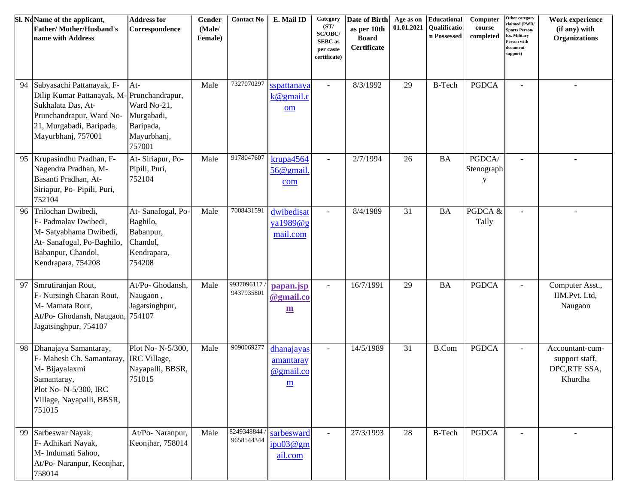|    | Sl. NoName of the applicant,<br><b>Father/Mother/Husband's</b><br>name with Address                                                                                        | <b>Address for</b><br>Correspondence                                            | Gender<br>(Male/<br>Female) | <b>Contact No</b>        | E. Mail ID                                         | Category<br>(ST/<br>SC/OBC/<br><b>SEBC</b> as<br>per caste<br>certificate) | Date of Birth<br>as per 10th<br><b>Board</b><br>Certificate | Age as on<br>01.01.2021 | Educational<br><b>Oualificatio</b><br>n Possessed | Computer<br>${\bf course}$<br>completed | Other category<br>claimed (PWD/<br><b>Sports Person/</b><br>Ex. Military<br>Person with<br>document-<br>support) | Work experience<br>(if any) with<br><b>Organizations</b>     |
|----|----------------------------------------------------------------------------------------------------------------------------------------------------------------------------|---------------------------------------------------------------------------------|-----------------------------|--------------------------|----------------------------------------------------|----------------------------------------------------------------------------|-------------------------------------------------------------|-------------------------|---------------------------------------------------|-----------------------------------------|------------------------------------------------------------------------------------------------------------------|--------------------------------------------------------------|
| 94 | Sabyasachi Pattanayak, F-<br>Dilip Kumar Pattanayak, M-Prunchandrapur,<br>Sukhalata Das, At-<br>Prunchandrapur, Ward No-<br>21, Murgabadi, Baripada,<br>Mayurbhanj, 757001 | $At-$<br>Ward No-21,<br>Murgabadi,<br>Baripada,<br>Mayurbhanj,<br>757001        | Male                        | 7327070297               | sspattanaya<br>$k@$ gmail.c<br>om                  | $\blacksquare$                                                             | 8/3/1992                                                    | 29                      | <b>B-Tech</b>                                     | <b>PGDCA</b>                            | $\sim$                                                                                                           | $\overline{\phantom{a}}$                                     |
| 95 | Krupasindhu Pradhan, F-<br>Nagendra Pradhan, M-<br>Basanti Pradhan, At-<br>Siriapur, Po- Pipili, Puri,<br>752104                                                           | At-Siriapur, Po-<br>Pipili, Puri,<br>752104                                     | Male                        | 9178047607               | $k$ rupa $4564$<br>56@gmail.<br>com                | $\blacksquare$                                                             | 2/7/1994                                                    | 26                      | <b>BA</b>                                         | PGDCA/<br>Stenograph<br>y               | $\sim$                                                                                                           | $\sim$                                                       |
| 96 | Trilochan Dwibedi,<br>F- Padmalav Dwibedi,<br>M-Satyabhama Dwibedi,<br>At-Sanafogal, Po-Baghilo,<br>Babanpur, Chandol,<br>Kendrapara, 754208                               | At-Sanafogal, Po-<br>Baghilo,<br>Babanpur,<br>Chandol,<br>Kendrapara,<br>754208 | Male                        | 7008431591               | dwibedisat<br>ya1989@g<br>mail.com                 | $\blacksquare$                                                             | 8/4/1989                                                    | 31                      | <b>BA</b>                                         | PGDCA &<br>Tally                        | $\sim$                                                                                                           | $\sim$                                                       |
| 97 | Smrutiranjan Rout,<br>F- Nursingh Charan Rout,<br>M- Mamata Rout,<br>At/Po- Ghodansh, Naugaon, 754107<br>Jagatsinghpur, 754107                                             | At/Po- Ghodansh,<br>Naugaon,<br>Jagatsinghpur,                                  | Male                        | 9937096117<br>9437935801 | papan.jsp<br>@gmail.co<br>$\underline{\mathbf{m}}$ | $\blacksquare$                                                             | 16/7/1991                                                   | 29                      | <b>BA</b>                                         | <b>PGDCA</b>                            | $\blacksquare$                                                                                                   | Computer Asst.,<br>IIM.Pvt. Ltd,<br>Naugaon                  |
| 98 | Dhanajaya Samantaray,<br>F- Mahesh Ch. Samantaray, IRC Village,<br>M- Bijayalaxmi<br>Samantaray,<br>Plot No- N-5/300, IRC<br>Village, Nayapalli, BBSR,<br>751015           | Plot No- N-5/300,<br>Nayapalli, BBSR,<br>751015                                 | Male                        | 9090069277               | dhanajayas<br>amantaray<br>@gmail.co<br>m          | $\blacksquare$                                                             | 14/5/1989                                                   | 31                      | <b>B.Com</b>                                      | <b>PGDCA</b>                            | $\blacksquare$                                                                                                   | Accountant-cum-<br>support staff,<br>DPC,RTE SSA,<br>Khurdha |
| 99 | Sarbeswar Nayak,<br>F- Adhikari Nayak,<br>M- Indumati Sahoo,<br>At/Po- Naranpur, Keonjhar,<br>758014                                                                       | At/Po-Naranpur,<br>Keonjhar, 758014                                             | Male                        | 8249348844<br>9658544344 | sarbesward<br>ipu03@gm<br>ail.com                  | $\overline{a}$                                                             | 27/3/1993                                                   | 28                      | <b>B-Tech</b>                                     | <b>PGDCA</b>                            | $\sim$                                                                                                           |                                                              |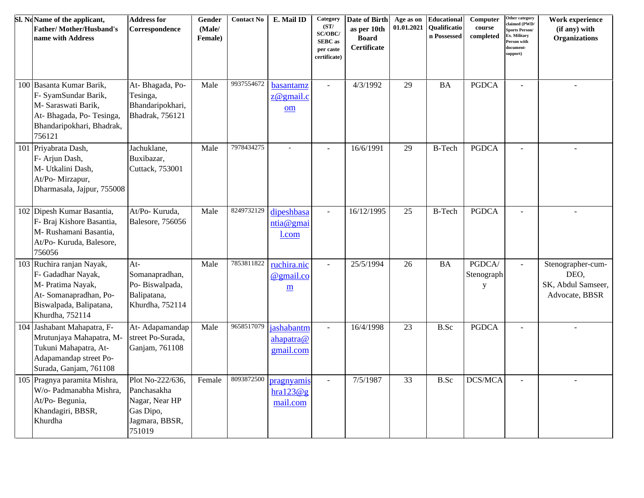| Sl. NoName of the applicant,<br><b>Father/Mother/Husband's</b><br>name with Address                                                         | <b>Address for</b><br>Correspondence                                                       | Gender<br>(Male/<br>Female) | <b>Contact No</b> | E. Mail ID                                           | Category<br>(ST/<br>SC/OBC/<br><b>SEBC</b> as<br>per caste<br>certificate) | Date of Birth<br>as per 10th<br><b>Board</b><br>Certificate | Age as on<br>01.01.2021 | Educational<br>Qualificatio<br>n Possessed | Computer<br>course<br>completed | Other category<br>claimed (PWD/<br>Sports Person/<br>X. Military<br>Person with<br>document-<br>support) | Work experience<br>(if any) with<br><b>Organizations</b>          |
|---------------------------------------------------------------------------------------------------------------------------------------------|--------------------------------------------------------------------------------------------|-----------------------------|-------------------|------------------------------------------------------|----------------------------------------------------------------------------|-------------------------------------------------------------|-------------------------|--------------------------------------------|---------------------------------|----------------------------------------------------------------------------------------------------------|-------------------------------------------------------------------|
| 100 Basanta Kumar Barik,<br>F- SyamSundar Barik,<br>M- Saraswati Barik,<br>At-Bhagada, Po-Tesinga,<br>Bhandaripokhari, Bhadrak,<br>756121   | At-Bhagada, Po-<br>Tesinga,<br>Bhandaripokhari,<br>Bhadrak, 756121                         | Male                        | 9937554672        | basantamz<br>$z@$ gmail.c<br>om                      | $\overline{a}$                                                             | 4/3/1992                                                    | 29                      | $\rm BA$                                   | <b>PGDCA</b>                    | $\sim$                                                                                                   |                                                                   |
| 101 Priyabrata Dash,<br>F- Arjun Dash,<br>M- Utkalini Dash,<br>At/Po-Mirzapur,<br>Dharmasala, Jajpur, 755008                                | Jachuklane,<br>Buxibazar,<br>Cuttack, 753001                                               | Male                        | 7978434275        |                                                      |                                                                            | 16/6/1991                                                   | 29                      | <b>B-Tech</b>                              | <b>PGDCA</b>                    | $\overline{a}$                                                                                           |                                                                   |
| 102 Dipesh Kumar Basantia,<br>F- Braj Kishore Basantia,<br>M-Rushamani Basantia,<br>At/Po- Kuruda, Balesore,<br>756056                      | At/Po- Kuruda,<br><b>Balesore, 756056</b>                                                  | Male                        | 8249732129        | dipeshbasa<br>ntia@gmai<br>1.com                     | $\sim$                                                                     | 16/12/1995                                                  | 25                      | <b>B-Tech</b>                              | <b>PGDCA</b>                    | $\sim$                                                                                                   |                                                                   |
| 103 Ruchira ranjan Nayak,<br>F- Gadadhar Nayak,<br>M- Pratima Nayak,<br>At-Somanapradhan, Po-<br>Biswalpada, Balipatana,<br>Khurdha, 752114 | $At-$<br>Somanapradhan,<br>Po-Biswalpada,<br>Balipatana,<br>Khurdha, 752114                | Male                        | 7853811822        | ruchira.nic<br>@gmail.co<br>$\underline{\mathbf{m}}$ | $\overline{a}$                                                             | 25/5/1994                                                   | 26                      | <b>BA</b>                                  | PGDCA/<br>Stenograph<br>y       | $\blacksquare$                                                                                           | Stenographer-cum-<br>DEO,<br>SK, Abdul Samseer,<br>Advocate, BBSR |
| 104 Jashabant Mahapatra, F-<br>Mrutunjaya Mahapatra, M-<br>Tukuni Mahapatra, At-<br>Adapamandap street Po-<br>Surada, Ganjam, 761108        | At-Adapamandap<br>street Po-Surada,<br>Ganjam, 761108                                      | Male                        | 9658517079        | jashabantm<br>ahapatra@<br>gmail.com                 |                                                                            | 16/4/1998                                                   | 23                      | B.Sc                                       | <b>PGDCA</b>                    | $\sim$                                                                                                   |                                                                   |
| 105 Pragnya paramita Mishra,<br>W/o- Padmanabha Mishra,<br>At/Po- Begunia,<br>Khandagiri, BBSR,<br>Khurdha                                  | Plot No-222/636,<br>Panchasakha<br>Nagar, Near HP<br>Gas Dipo,<br>Jagmara, BBSR,<br>751019 | Female                      | 8093872500        | pragnyamis<br>hra123@g<br>mail.com                   | $\blacksquare$                                                             | 7/5/1987                                                    | 33                      | B.Sc                                       | DCS/MCA                         | $\sim$                                                                                                   |                                                                   |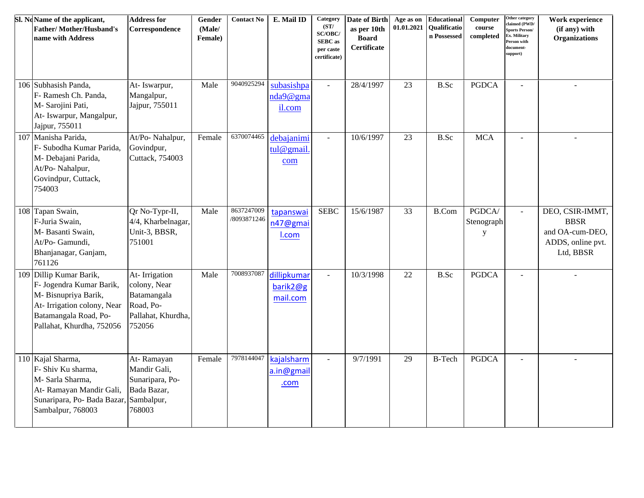| Sl. NoName of the applicant,<br><b>Father/Mother/Husband's</b><br>name with Address                                                                            | <b>Address for</b><br>Correspondence                                                      | Gender<br>(Male/<br>Female) | <b>Contact No</b>         | E. Mail ID                          | Category<br>(ST/<br>SC/OBC/<br><b>SEBC</b> as<br>per caste<br>certificate) | Date of Birth<br>as per 10th<br><b>Board</b><br><b>Certificate</b> | Age as on<br>01.01.2021 | Educational<br>Qualificatio<br>n Possessed | Computer<br>course<br>completed     | Other category<br>claimed (PWD/<br><b>Sports Person/</b><br>Ex. Military<br>Person with<br>document-<br>support) | Work experience<br>(if any) with<br><b>Organizations</b>                            |
|----------------------------------------------------------------------------------------------------------------------------------------------------------------|-------------------------------------------------------------------------------------------|-----------------------------|---------------------------|-------------------------------------|----------------------------------------------------------------------------|--------------------------------------------------------------------|-------------------------|--------------------------------------------|-------------------------------------|------------------------------------------------------------------------------------------------------------------|-------------------------------------------------------------------------------------|
| 106 Subhasish Panda,<br>F- Ramesh Ch. Panda,<br>M- Sarojini Pati,<br>At- Iswarpur, Mangalpur,<br>Jajpur, 755011                                                | At-Iswarpur,<br>Mangalpur,<br>Jajpur, 755011                                              | Male                        | 9040925294                | subasishpa<br>nda9@gma<br>il.com    | $\omega$                                                                   | 28/4/1997                                                          | 23                      | B.Sc                                       | <b>PGDCA</b>                        | $\sim$                                                                                                           | $\overline{a}$                                                                      |
| 107 Manisha Parida,<br>F- Subodha Kumar Parida,<br>M- Debajani Parida,<br>At/Po- Nahalpur,<br>Govindpur, Cuttack,<br>754003                                    | At/Po- Nahalpur,<br>Govindpur,<br>Cuttack, 754003                                         | Female                      | 6370074465                | debajanimi<br>tul@gmail<br>com      | $\omega$                                                                   | 10/6/1997                                                          | 23                      | B.Sc                                       | <b>MCA</b>                          |                                                                                                                  |                                                                                     |
| 108 Tapan Swain,<br>F-Juria Swain,<br>M- Basanti Swain,<br>At/Po- Gamundi,<br>Bhanjanagar, Ganjam,<br>761126                                                   | Qr No-Typr-II,<br>4/4, Kharbelnagar,<br>Unit-3, BBSR,<br>751001                           | Male                        | 8637247009<br>/8093871246 | tapanswai<br>n47@gmai<br>I.com      | <b>SEBC</b>                                                                | 15/6/1987                                                          | 33                      | <b>B.Com</b>                               | PGDCA/<br>Stenograph<br>$\mathbf y$ | $\omega$                                                                                                         | DEO, CSIR-IMMT,<br><b>BBSR</b><br>and OA-cum-DEO,<br>ADDS, online pvt.<br>Ltd, BBSR |
| 109 Dillip Kumar Barik,<br>F- Jogendra Kumar Barik,<br>M-Bisnupriya Barik,<br>At-Irrigation colony, Near<br>Batamangala Road, Po-<br>Pallahat, Khurdha, 752056 | At-Irrigation<br>colony, Near<br>Batamangala<br>Road, Po-<br>Pallahat, Khurdha,<br>752056 | Male                        | 7008937087                | dillipkumar<br>barik2@g<br>mail.com | $\omega$                                                                   | 10/3/1998                                                          | 22                      | B.Sc                                       | <b>PGDCA</b>                        | $\sim$                                                                                                           |                                                                                     |
| 110 Kajal Sharma,<br>F- Shiv Ku sharma,<br>M- Sarla Sharma,<br>At- Ramayan Mandir Gali,<br>Sunaripara, Po- Bada Bazar,<br>Sambalpur, 768003                    | At-Ramayan<br>Mandir Gali,<br>Sunaripara, Po-<br>Bada Bazar,<br>Sambalpur,<br>768003      | Female                      | 7978144047                | kajalsharm<br>a.in@gmail<br>.com    | $\omega$                                                                   | 9/7/1991                                                           | 29                      | <b>B-Tech</b>                              | <b>PGDCA</b>                        | $\overline{a}$                                                                                                   | $\sim$                                                                              |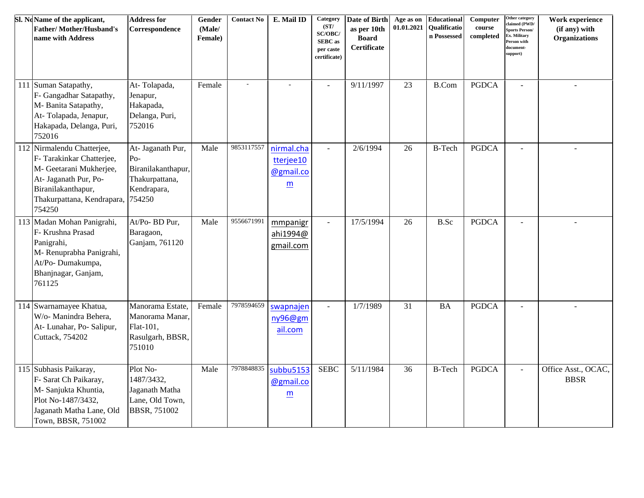| Sl. NoName of the applicant,<br><b>Father/Mother/Husband's</b><br>name with Address                                                                                       | <b>Address for</b><br>Correspondence                                                        | Gender<br>(Male/<br>Female) | <b>Contact No</b>        | E. Mail ID                                                       | Category<br>(ST/<br>SC/OBC/<br><b>SEBC</b> as<br>per caste<br>certificate) | Date of Birth<br>as per 10th<br><b>Board</b><br>Certificate | Age as on<br>01.01.2021 | Educational<br><b>Oualificatio</b><br>n Possessed | Computer<br>course<br>completed | Other category<br>claimed (PWD/<br><b>Sports Person/</b><br>Ex. Military<br>Person with<br>document-<br>support) | Work experience<br>(if any) with<br><b>Organizations</b> |
|---------------------------------------------------------------------------------------------------------------------------------------------------------------------------|---------------------------------------------------------------------------------------------|-----------------------------|--------------------------|------------------------------------------------------------------|----------------------------------------------------------------------------|-------------------------------------------------------------|-------------------------|---------------------------------------------------|---------------------------------|------------------------------------------------------------------------------------------------------------------|----------------------------------------------------------|
| 111 Suman Satapathy,<br>F- Gangadhar Satapathy,<br>M-Banita Satapathy,<br>At-Tolapada, Jenapur,<br>Hakapada, Delanga, Puri,<br>752016                                     | At-Tolapada,<br>Jenapur,<br>Hakapada,<br>Delanga, Puri,<br>752016                           | Female                      | $\overline{\phantom{a}}$ |                                                                  | $\sim$                                                                     | 9/11/1997                                                   | 23                      | <b>B.Com</b>                                      | <b>PGDCA</b>                    | $\sim$                                                                                                           | ÷.                                                       |
| 112 Nirmalendu Chatterjee,<br>F- Tarakinkar Chatterjee,<br>M- Geetarani Mukherjee,<br>At- Jaganath Pur, Po-<br>Biranilakanthapur,<br>Thakurpattana, Kendrapara,<br>754250 | At- Jaganath Pur,<br>$Po-$<br>Biranilakanthapur,<br>Thakurpattana,<br>Kendrapara,<br>754250 | Male                        | 9853117557               | nirmal.cha<br>tterjee10<br>@gmail.co<br>$\underline{\mathsf{m}}$ | $\blacksquare$                                                             | 2/6/1994                                                    | 26                      | <b>B-Tech</b>                                     | <b>PGDCA</b>                    | $\sim$                                                                                                           |                                                          |
| 113 Madan Mohan Panigrahi,<br>F- Krushna Prasad<br>Panigrahi,<br>M-Renuprabha Panigrahi,<br>At/Po-Dumakumpa,<br>Bhanjnagar, Ganjam,<br>761125                             | At/Po- BD Pur,<br>Baragaon,<br>Ganjam, 761120                                               | Male                        | 9556671991               | mmpanigr<br>ahi1994@<br>gmail.com                                | $\omega$                                                                   | 17/5/1994                                                   | 26                      | B.Sc                                              | <b>PGDCA</b>                    |                                                                                                                  |                                                          |
| 114 Swarnamayee Khatua,<br>W/o- Manindra Behera,<br>At- Lunahar, Po- Salipur,<br>Cuttack, 754202                                                                          | Manorama Estate,<br>Manorama Manar.<br>Flat-101,<br>Rasulgarh, BBSR,<br>751010              | Female                      | 7978594659               | swapnajen<br>ny96@gm<br>ail.com                                  | $\blacksquare$                                                             | 1/7/1989                                                    | 31                      | <b>BA</b>                                         | <b>PGDCA</b>                    |                                                                                                                  |                                                          |
| 115 Subhasis Paikaray,<br>F- Sarat Ch Paikaray,<br>M- Sanjukta Khuntia,<br>Plot No-1487/3432,<br>Jaganath Matha Lane, Old<br>Town, BBSR, 751002                           | Plot No-<br>1487/3432,<br>Jaganath Matha<br>Lane, Old Town,<br><b>BBSR, 751002</b>          | Male                        | 7978848835               | subbu5153<br>@gmail.co<br>$\underline{m}$                        | <b>SEBC</b>                                                                | 5/11/1984                                                   | 36                      | <b>B-Tech</b>                                     | <b>PGDCA</b>                    | $\blacksquare$                                                                                                   | Office Asst., OCAC,<br><b>BBSR</b>                       |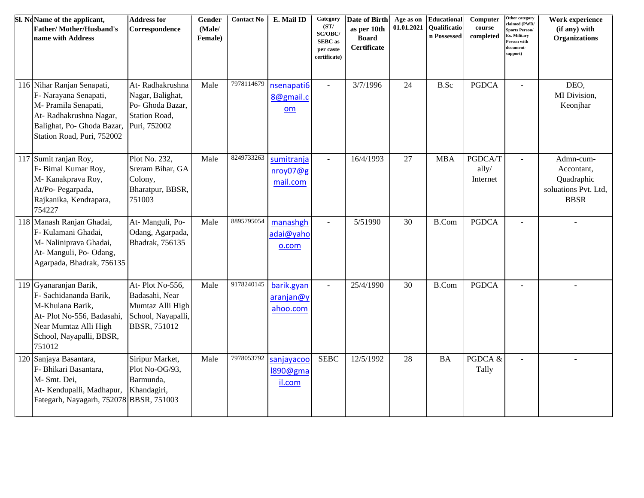| Sl. NoName of the applicant,<br><b>Father/Mother/Husband's</b><br>name with Address                                                                                            | <b>Address for</b><br>Correspondence                                                               | Gender<br>(Male/<br>Female) | <b>Contact No</b> | E. Mail ID                                 | Category<br>(ST/<br>SC/OBC/<br><b>SEBC</b> as<br>per caste<br>certificate) | Date of Birth<br>as per 10th<br><b>Board</b><br><b>Certificate</b> | Age as on<br>01.01.2021 | Educational<br><b>Oualificatio</b><br>n Possessed | Computer<br>course<br>completed | Other category<br>claimed (PWD/<br><b>Sports Person/</b><br>x. Military<br>Person with<br>document-<br>support) | Work experience<br>(if any) with<br><b>Organizations</b>                     |
|--------------------------------------------------------------------------------------------------------------------------------------------------------------------------------|----------------------------------------------------------------------------------------------------|-----------------------------|-------------------|--------------------------------------------|----------------------------------------------------------------------------|--------------------------------------------------------------------|-------------------------|---------------------------------------------------|---------------------------------|-----------------------------------------------------------------------------------------------------------------|------------------------------------------------------------------------------|
| 116 Nihar Ranjan Senapati,<br>F- Narayana Senapati,<br>M- Pramila Senapati,<br>At-Radhakrushna Nagar,<br>Balighat, Po- Ghoda Bazar, Puri, 752002<br>Station Road, Puri, 752002 | At-Radhakrushna<br>Nagar, Balighat,<br>Po- Ghoda Bazar,<br><b>Station Road,</b>                    | Male                        | 7978114679        | nsenapati6<br>8@gmail.c<br>om              | $\omega$                                                                   | 3/7/1996                                                           | 24                      | <b>B.Sc</b>                                       | <b>PGDCA</b>                    | $\overline{a}$                                                                                                  | DEO,<br>MI Division,<br>Keonjhar                                             |
| 117 Sumit ranjan Roy,<br>F- Bimal Kumar Roy,<br>M-Kanakprava Roy,<br>At/Po- Pegarpada,<br>Rajkanika, Kendrapara,<br>754227                                                     | Plot No. 232,<br>Sreram Bihar, GA<br>Colony,<br>Bharatpur, BBSR,<br>751003                         | Male                        | 8249733263        | sumitranja<br>nroy07@g<br>mail.com         | $\blacksquare$                                                             | 16/4/1993                                                          | 27                      | <b>MBA</b>                                        | PGDCA/T<br>ally/<br>Internet    |                                                                                                                 | Admn-cum-<br>Accontant,<br>Quadraphic<br>soluations Pvt. Ltd,<br><b>BBSR</b> |
| 118 Manash Ranjan Ghadai,<br>F- Kulamani Ghadai,<br>M- Naliniprava Ghadai,<br>At- Manguli, Po- Odang,<br>Agarpada, Bhadrak, 756135                                             | At- Manguli, Po-<br>Odang, Agarpada,<br>Bhadrak, 756135                                            | Male                        | 8895795054        | manashgh<br>adai@yaho<br>0.00 <sub>m</sub> | $\omega$                                                                   | 5/51990                                                            | 30                      | <b>B.Com</b>                                      | <b>PGDCA</b>                    | $\overline{a}$                                                                                                  |                                                                              |
| 119 Gyanaranjan Barik,<br>F- Sachidananda Barik,<br>M-Khulana Barik,<br>At-Plot No-556, Badasahi,<br>Near Mumtaz Alli High<br>School, Nayapalli, BBSR,<br>751012               | At-Plot No-556,<br>Badasahi, Near<br>Mumtaz Alli High<br>School, Nayapalli,<br><b>BBSR, 751012</b> | Male                        | 9178240145        | barik.gyan<br>aranjan@y<br>ahoo.com        | $\omega$                                                                   | 25/4/1990                                                          | 30                      | <b>B.Com</b>                                      | <b>PGDCA</b>                    | $\overline{a}$                                                                                                  | $\sim$                                                                       |
| 120 Sanjaya Basantara,<br>F- Bhikari Basantara,<br>M- Smt. Dei,<br>At-Kendupalli, Madhapur,<br>Fategarh, Nayagarh, 752078 BBSR, 751003                                         | Siripur Market,<br>Plot No-OG/93,<br>Barmunda,<br>Khandagiri,                                      | Male                        | 7978053792        | sanjayacoo<br>1890@gma<br>il.com           | <b>SEBC</b>                                                                | 12/5/1992                                                          | 28                      | <b>BA</b>                                         | PGDCA &<br>Tally                | $\sim$                                                                                                          | $\sim$                                                                       |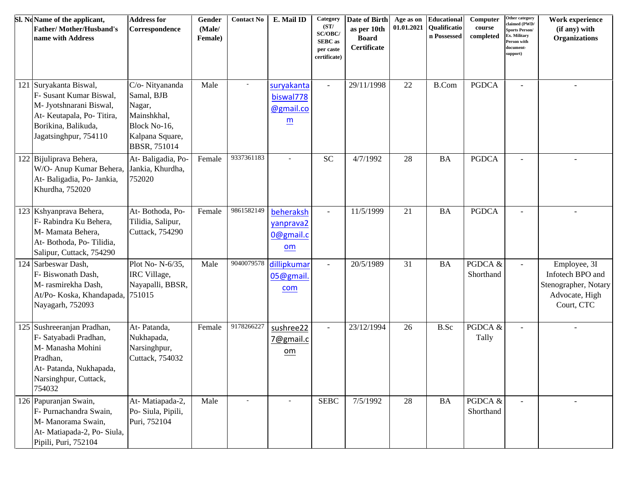|     | Sl. NoName of the applicant,<br><b>Father/Mother/Husband's</b><br>name with Address                                                                  | <b>Address for</b><br>Correspondence                                                                      | Gender<br>(Male/<br>Female) | <b>Contact No</b> | E. Mail ID                                              | Category<br>(ST/<br>SC/OBC/<br><b>SEBC</b> as<br>per caste<br>certificate) | Date of Birth<br>as per 10th<br><b>Board</b><br>Certificate | Age as on<br>01.01.2021 | Educational<br><b>Qualificatio</b><br>n Possessed | Computer<br>course<br>completed | Other category<br>claimed (PWD/<br><b>Sports Person/</b><br>Ex. Military<br>Person with<br>document-<br>support) | Work experience<br>(if any) with<br><b>Organizations</b>                                 |
|-----|------------------------------------------------------------------------------------------------------------------------------------------------------|-----------------------------------------------------------------------------------------------------------|-----------------------------|-------------------|---------------------------------------------------------|----------------------------------------------------------------------------|-------------------------------------------------------------|-------------------------|---------------------------------------------------|---------------------------------|------------------------------------------------------------------------------------------------------------------|------------------------------------------------------------------------------------------|
| 121 | Suryakanta Biswal,<br>F- Susant Kumar Biswal,<br>M- Jyotshnarani Biswal,<br>At-Keutapala, Po-Titira,<br>Borikina, Balikuda,<br>Jagatsinghpur, 754110 | C/o- Nityananda<br>Samal, BJB<br>Nagar,<br>Mainshkhal,<br>Block No-16,<br>Kalpana Square,<br>BBSR, 751014 | Male                        |                   | suryakanta<br>biswal778<br>@gmail.co<br>$\underline{m}$ | $\blacksquare$                                                             | 29/11/1998                                                  | 22                      | <b>B.Com</b>                                      | <b>PGDCA</b>                    | $\overline{a}$                                                                                                   |                                                                                          |
|     | 122 Bijuliprava Behera,<br>W/O- Anup Kumar Behera,<br>At-Baligadia, Po-Jankia,<br>Khurdha, 752020                                                    | At-Baligadia, Po-<br>Jankia, Khurdha,<br>752020                                                           | Female                      | 9337361183        |                                                         | $\ensuremath{\mathbf{SC}}$                                                 | 4/7/1992                                                    | 28                      | BA                                                | <b>PGDCA</b>                    |                                                                                                                  |                                                                                          |
|     | 123 Kshyanprava Behera,<br>F- Rabindra Ku Behera,<br>M- Mamata Behera,<br>At-Bothoda, Po-Tilidia,<br>Salipur, Cuttack, 754290                        | At-Bothoda, Po-<br>Tilidia, Salipur,<br>Cuttack, 754290                                                   | Female                      | 9861582149        | beheraksh<br>yanprava2<br>0@gmail.c<br>om               | $\blacksquare$                                                             | 11/5/1999                                                   | 21                      | <b>BA</b>                                         | <b>PGDCA</b>                    |                                                                                                                  |                                                                                          |
|     | 124 Sarbeswar Dash,<br>F- Biswonath Dash,<br>M- rasmirekha Dash,<br>At/Po- Koska, Khandapada,<br>Nayagarh, 752093                                    | Plot No- N-6/35,<br>IRC Village,<br>Nayapalli, BBSR,<br>751015                                            | Male                        | 9040079578        | dillipkumar<br>05@gmail.<br>com                         | $\sim$                                                                     | 20/5/1989                                                   | 31                      | <b>BA</b>                                         | PGDCA &<br>Shorthand            | $\overline{a}$                                                                                                   | Employee, 3I<br>Infotech BPO and<br>Stenographer, Notary<br>Advocate, High<br>Court, CTC |
|     | 125 Sushreeranjan Pradhan,<br>F- Satyabadi Pradhan,<br>M- Manasha Mohini<br>Pradhan,<br>At- Patanda, Nukhapada,<br>Narsinghpur, Cuttack,<br>754032   | At-Patanda,<br>Nukhapada,<br>Narsinghpur,<br>Cuttack, 754032                                              | Female                      | 9178266227        | sushree22<br>7@gmail.c<br>$om$                          |                                                                            | 23/12/1994                                                  | 26                      | <b>B.Sc</b>                                       | PGDCA &<br>Tally                |                                                                                                                  |                                                                                          |
|     | 126 Papuranjan Swain,<br>F- Purnachandra Swain,<br>M- Manorama Swain,<br>At-Matiapada-2, Po-Siula,<br>Pipili, Puri, 752104                           | At-Matiapada-2,<br>Po- Siula, Pipili,<br>Puri, 752104                                                     | Male                        |                   |                                                         | <b>SEBC</b>                                                                | 7/5/1992                                                    | 28                      | BA                                                | PGDCA &<br>Shorthand            |                                                                                                                  |                                                                                          |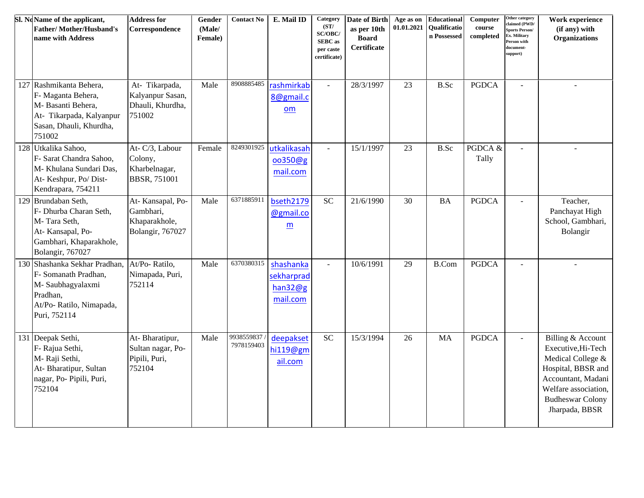| Sl. NoName of the applicant,<br><b>Father/Mother/Husband's</b><br>name with Address                                                  | <b>Address for</b><br>Correspondence                               | Gender<br>(Male/<br>Female) | <b>Contact No</b>        | E. Mail ID                                     | Category<br>(ST/<br>SC/OBC/<br><b>SEBC</b> as<br>per caste<br>certificate) | Date of Birth<br>as per 10th<br><b>Board</b><br>Certificate | Age as on<br>01.01.2021 | <b>Educational</b><br>Qualificatio<br>n Possessed | Computer<br>course<br>completed | Other category<br>claimed (PWD/<br><b>Sports Person/</b><br>Ex. Military<br>Person with<br>document-<br>support) | Work experience<br>(if any) with<br><b>Organizations</b>                                                                                                                      |
|--------------------------------------------------------------------------------------------------------------------------------------|--------------------------------------------------------------------|-----------------------------|--------------------------|------------------------------------------------|----------------------------------------------------------------------------|-------------------------------------------------------------|-------------------------|---------------------------------------------------|---------------------------------|------------------------------------------------------------------------------------------------------------------|-------------------------------------------------------------------------------------------------------------------------------------------------------------------------------|
| 127 Rashmikanta Behera,<br>F- Maganta Behera,<br>M- Basanti Behera,<br>At- Tikarpada, Kalyanpur<br>Sasan, Dhauli, Khurdha,<br>751002 | At- Tikarpada,<br>Kalyanpur Sasan,<br>Dhauli, Khurdha,<br>751002   | Male                        | 8908885485               | rashmirkab<br>8@gmail.c<br>om                  | $\mathbb{Z}^2$                                                             | 28/3/1997                                                   | 23                      | B.Sc                                              | <b>PGDCA</b>                    | $\overline{a}$                                                                                                   |                                                                                                                                                                               |
| 128 Utkalika Sahoo,<br>F- Sarat Chandra Sahoo,<br>M- Khulana Sundari Das,<br>At-Keshpur, Po/Dist-<br>Kendrapara, 754211              | At- C/3, Labour<br>Colony,<br>Kharbelnagar,<br><b>BBSR, 751001</b> | Female                      | 8249301925               | utkalikasah<br>oo350@g<br>mail.com             | $\sim$                                                                     | 15/1/1997                                                   | 23                      | <b>B.Sc</b>                                       | PGDCA &<br>Tally                | $\sim$                                                                                                           |                                                                                                                                                                               |
| 129 Brundaban Seth,<br>F- Dhurba Charan Seth,<br>M-Tara Seth,<br>At-Kansapal, Po-<br>Gambhari, Khaparakhole,<br>Bolangir, 767027     | At-Kansapal, Po-<br>Gambhari,<br>Khaparakhole,<br>Bolangir, 767027 | Male                        | 6371885911               | bseth2179<br>@gmail.co<br>$\underline{m}$      | <b>SC</b>                                                                  | 21/6/1990                                                   | 30                      | <b>BA</b>                                         | <b>PGDCA</b>                    | $\overline{a}$                                                                                                   | Teacher,<br>Panchayat High<br>School, Gambhari,<br>Bolangir                                                                                                                   |
| 130 Shashanka Sekhar Pradhan,<br>F- Somanath Pradhan,<br>M-Saubhagyalaxmi<br>Pradhan,<br>At/Po- Ratilo, Nimapada,<br>Puri, 752114    | At/Po-Ratilo,<br>Nimapada, Puri,<br>752114                         | Male                        | 6370380315               | shashanka<br>sekharprad<br>han32@g<br>mail.com | $\omega$                                                                   | 10/6/1991                                                   | 29                      | <b>B.Com</b>                                      | <b>PGDCA</b>                    | $\overline{a}$                                                                                                   | ÷.                                                                                                                                                                            |
| 131 Deepak Sethi,<br>F- Rajua Sethi,<br>M-Raji Sethi,<br>At-Bharatipur, Sultan<br>nagar, Po- Pipili, Puri,<br>752104                 | At-Bharatipur,<br>Sultan nagar, Po-<br>Pipili, Puri,<br>752104     | Male                        | 9938559837<br>7978159403 | deepakset<br>hi119@gm<br>ail.com               | <b>SC</b>                                                                  | 15/3/1994                                                   | 26                      | <b>MA</b>                                         | <b>PGDCA</b>                    | $\overline{\phantom{a}}$                                                                                         | Billing & Account<br>Executive, Hi-Tech<br>Medical College &<br>Hospital, BBSR and<br>Accountant, Madani<br>Welfare association,<br><b>Budheswar Colony</b><br>Jharpada, BBSR |